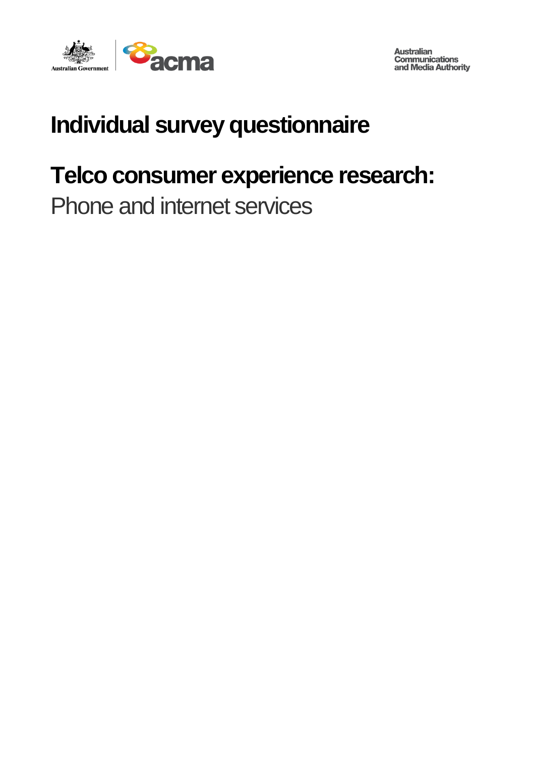

**Australian Communications** and Media Authority

# **Individual survey questionnaire**

# **Telco consumer experience research:**

Phone and internet services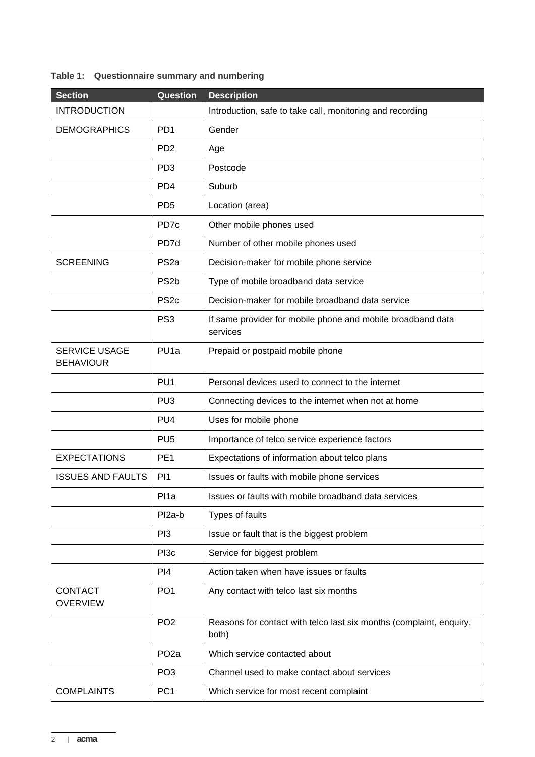## **Table 1: Questionnaire summary and numbering**

| <b>Section</b>                           | Question                    | <b>Description</b>                                                           |
|------------------------------------------|-----------------------------|------------------------------------------------------------------------------|
| <b>INTRODUCTION</b>                      |                             | Introduction, safe to take call, monitoring and recording                    |
| <b>DEMOGRAPHICS</b>                      | PD <sub>1</sub>             | Gender                                                                       |
|                                          | P <sub>D</sub> <sub>2</sub> | Age                                                                          |
|                                          | PD <sub>3</sub>             | Postcode                                                                     |
|                                          | PD <sub>4</sub>             | Suburb                                                                       |
|                                          | PD <sub>5</sub>             | Location (area)                                                              |
|                                          | PD <sub>7c</sub>            | Other mobile phones used                                                     |
|                                          | PD7d                        | Number of other mobile phones used                                           |
| <b>SCREENING</b>                         | PS <sub>2a</sub>            | Decision-maker for mobile phone service                                      |
|                                          | PS <sub>2</sub> b           | Type of mobile broadband data service                                        |
|                                          | PS <sub>2c</sub>            | Decision-maker for mobile broadband data service                             |
|                                          | PS <sub>3</sub>             | If same provider for mobile phone and mobile broadband data<br>services      |
| <b>SERVICE USAGE</b><br><b>BEHAVIOUR</b> | PU <sub>1a</sub>            | Prepaid or postpaid mobile phone                                             |
|                                          | PU <sub>1</sub>             | Personal devices used to connect to the internet                             |
|                                          | PU <sub>3</sub>             | Connecting devices to the internet when not at home                          |
|                                          | PU <sub>4</sub>             | Uses for mobile phone                                                        |
|                                          | PU <sub>5</sub>             | Importance of telco service experience factors                               |
| <b>EXPECTATIONS</b>                      | PE <sub>1</sub>             | Expectations of information about telco plans                                |
| <b>ISSUES AND FAULTS</b>                 | P <sub>1</sub>              | Issues or faults with mobile phone services                                  |
|                                          | Pl1a                        | Issues or faults with mobile broadband data services                         |
|                                          | Pl <sub>2a-b</sub>          | Types of faults                                                              |
|                                          | P <sub>13</sub>             | Issue or fault that is the biggest problem                                   |
|                                          | PI <sub>3c</sub>            | Service for biggest problem                                                  |
|                                          | PI <sub>4</sub>             | Action taken when have issues or faults                                      |
| <b>CONTACT</b><br><b>OVERVIEW</b>        | PO <sub>1</sub>             | Any contact with telco last six months                                       |
|                                          | PO <sub>2</sub>             | Reasons for contact with telco last six months (complaint, enquiry,<br>both) |
|                                          | PO <sub>2a</sub>            | Which service contacted about                                                |
|                                          | PO <sub>3</sub>             | Channel used to make contact about services                                  |
| <b>COMPLAINTS</b>                        | PC <sub>1</sub>             | Which service for most recent complaint                                      |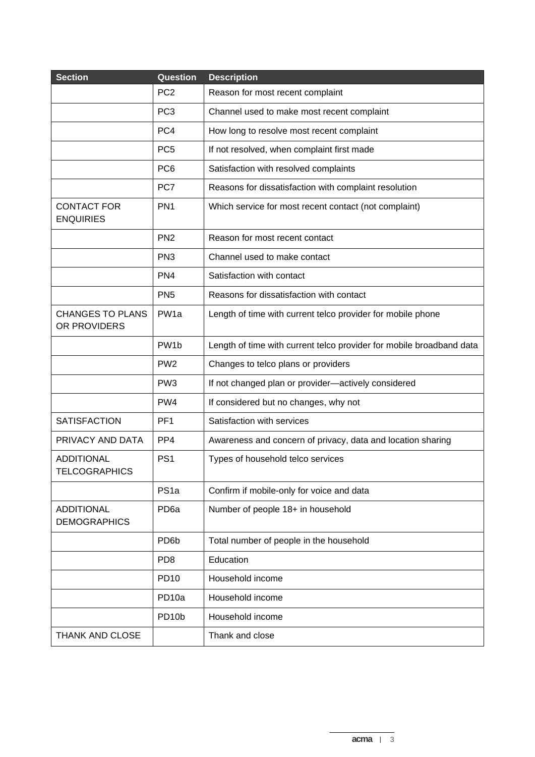| <b>Section</b>                            | Question           | <b>Description</b>                                                   |
|-------------------------------------------|--------------------|----------------------------------------------------------------------|
|                                           | PC <sub>2</sub>    | Reason for most recent complaint                                     |
|                                           | PC <sub>3</sub>    | Channel used to make most recent complaint                           |
|                                           | PC4                | How long to resolve most recent complaint                            |
|                                           | PC <sub>5</sub>    | If not resolved, when complaint first made                           |
|                                           | PC <sub>6</sub>    | Satisfaction with resolved complaints                                |
|                                           | PC7                | Reasons for dissatisfaction with complaint resolution                |
| <b>CONTACT FOR</b><br><b>ENQUIRIES</b>    | PN <sub>1</sub>    | Which service for most recent contact (not complaint)                |
|                                           | PN <sub>2</sub>    | Reason for most recent contact                                       |
|                                           | PN <sub>3</sub>    | Channel used to make contact                                         |
|                                           | PN <sub>4</sub>    | Satisfaction with contact                                            |
|                                           | PN <sub>5</sub>    | Reasons for dissatisfaction with contact                             |
| <b>CHANGES TO PLANS</b><br>OR PROVIDERS   | PW <sub>1a</sub>   | Length of time with current telco provider for mobile phone          |
|                                           | PW <sub>1</sub> b  | Length of time with current telco provider for mobile broadband data |
|                                           | PW <sub>2</sub>    | Changes to telco plans or providers                                  |
|                                           | PW <sub>3</sub>    | If not changed plan or provider-actively considered                  |
|                                           | PW4                | If considered but no changes, why not                                |
| <b>SATISFACTION</b>                       | PF <sub>1</sub>    | Satisfaction with services                                           |
| PRIVACY AND DATA                          | PP4                | Awareness and concern of privacy, data and location sharing          |
| <b>ADDITIONAL</b><br><b>TELCOGRAPHICS</b> | PS <sub>1</sub>    | Types of household telco services                                    |
|                                           | PS <sub>1a</sub>   | Confirm if mobile-only for voice and data                            |
| <b>ADDITIONAL</b><br><b>DEMOGRAPHICS</b>  | PD <sub>6a</sub>   | Number of people 18+ in household                                    |
|                                           | PD <sub>6</sub> b  | Total number of people in the household                              |
|                                           | PD <sub>8</sub>    | Education                                                            |
|                                           | <b>PD10</b>        | Household income                                                     |
|                                           | PD <sub>10a</sub>  | Household income                                                     |
|                                           | PD <sub>10</sub> b | Household income                                                     |
| <b>THANK AND CLOSE</b>                    |                    | Thank and close                                                      |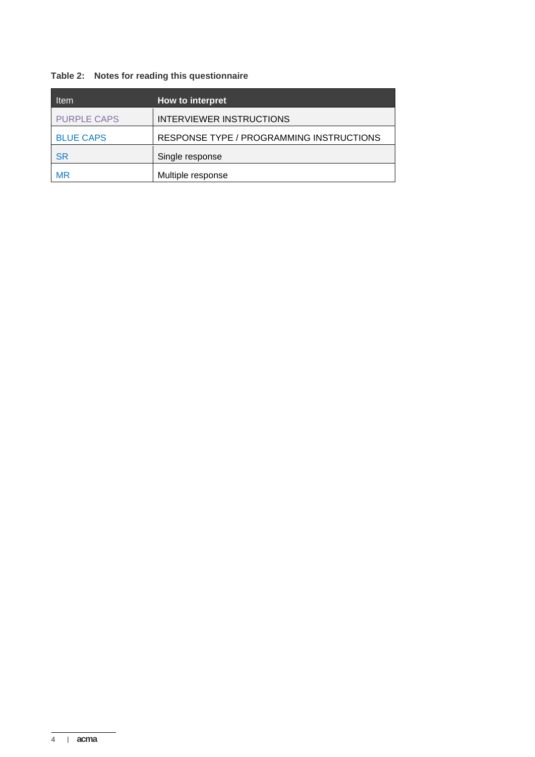## **Table 2: Notes for reading this questionnaire**

| <b>Item</b>        | How to interpret                         |
|--------------------|------------------------------------------|
| <b>PURPLE CAPS</b> | <b>INTERVIEWER INSTRUCTIONS</b>          |
| <b>BLUE CAPS</b>   | RESPONSE TYPE / PROGRAMMING INSTRUCTIONS |
| SR                 | Single response                          |
| MR                 | Multiple response                        |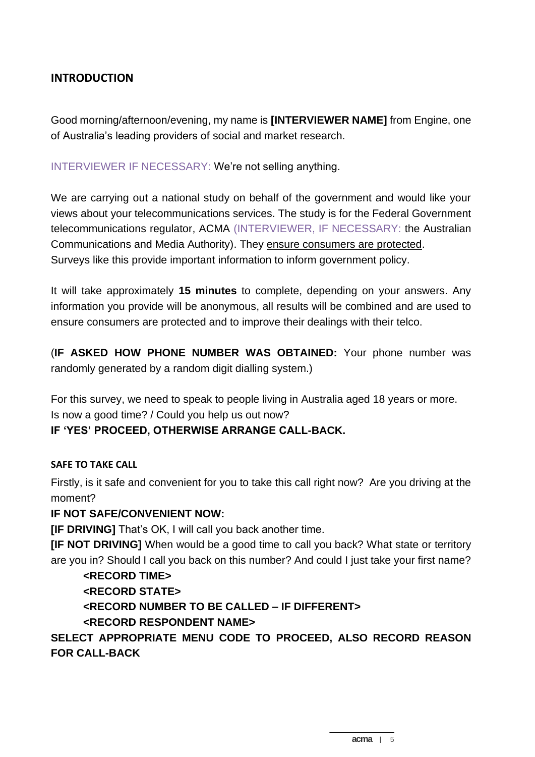## **INTRODUCTION**

Good morning/afternoon/evening, my name is **[INTERVIEWER NAME]** from Engine, one of Australia's leading providers of social and market research.

INTERVIEWER IF NECESSARY: We're not selling anything.

We are carrying out a national study on behalf of the government and would like your views about your telecommunications services. The study is for the Federal Government telecommunications regulator, ACMA (INTERVIEWER, IF NECESSARY: the Australian Communications and Media Authority). They ensure consumers are protected. Surveys like this provide important information to inform government policy.

It will take approximately **15 minutes** to complete, depending on your answers. Any information you provide will be anonymous, all results will be combined and are used to ensure consumers are protected and to improve their dealings with their telco.

(**IF ASKED HOW PHONE NUMBER WAS OBTAINED:** Your phone number was randomly generated by a random digit dialling system.)

For this survey, we need to speak to people living in Australia aged 18 years or more. Is now a good time? / Could you help us out now?

#### **IF 'YES' PROCEED, OTHERWISE ARRANGE CALL-BACK.**

#### **SAFE TO TAKE CALL**

Firstly, is it safe and convenient for you to take this call right now? Are you driving at the moment?

#### **IF NOT SAFE/CONVENIENT NOW:**

**[IF DRIVING]** That's OK, I will call you back another time.

**[IF NOT DRIVING]** When would be a good time to call you back? What state or territory are you in? Should I call you back on this number? And could I just take your first name?

#### **<RECORD TIME>**

#### **<RECORD STATE>**

**<RECORD NUMBER TO BE CALLED – IF DIFFERENT>**

#### **<RECORD RESPONDENT NAME>**

## **SELECT APPROPRIATE MENU CODE TO PROCEED, ALSO RECORD REASON FOR CALL-BACK**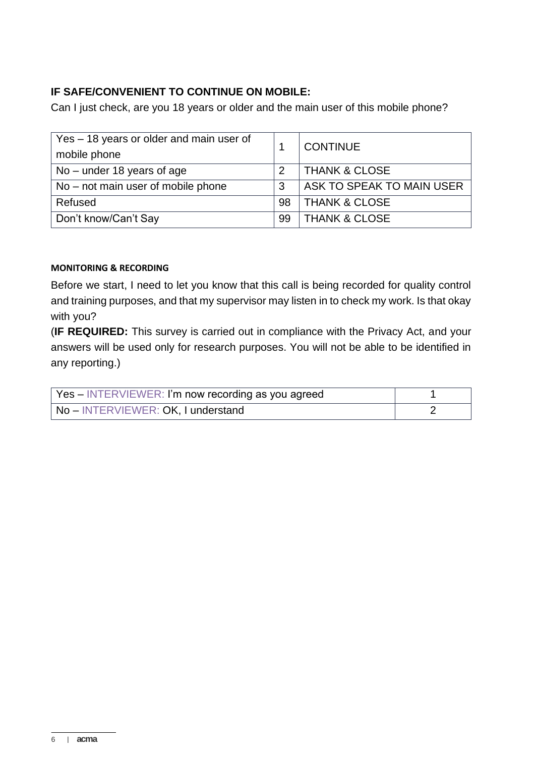## **IF SAFE/CONVENIENT TO CONTINUE ON MOBILE:**

Can I just check, are you 18 years or older and the main user of this mobile phone?

| Yes – 18 years or older and main user of<br>mobile phone |    | <b>CONTINUE</b>           |  |
|----------------------------------------------------------|----|---------------------------|--|
| $No$ – under 18 years of age                             | 2  | <b>THANK &amp; CLOSE</b>  |  |
| $No$ – not main user of mobile phone                     |    | ASK TO SPEAK TO MAIN USER |  |
| Refused                                                  | 98 | <b>THANK &amp; CLOSE</b>  |  |
| Don't know/Can't Say                                     | 99 | <b>THANK &amp; CLOSE</b>  |  |

#### **MONITORING & RECORDING**

Before we start, I need to let you know that this call is being recorded for quality control and training purposes, and that my supervisor may listen in to check my work. Is that okay with you?

(**IF REQUIRED:** This survey is carried out in compliance with the Privacy Act, and your answers will be used only for research purposes. You will not be able to be identified in any reporting.)

| Yes – INTERVIEWER: I'm now recording as you agreed |  |
|----------------------------------------------------|--|
| No-INTERVIEWER: OK, I understand                   |  |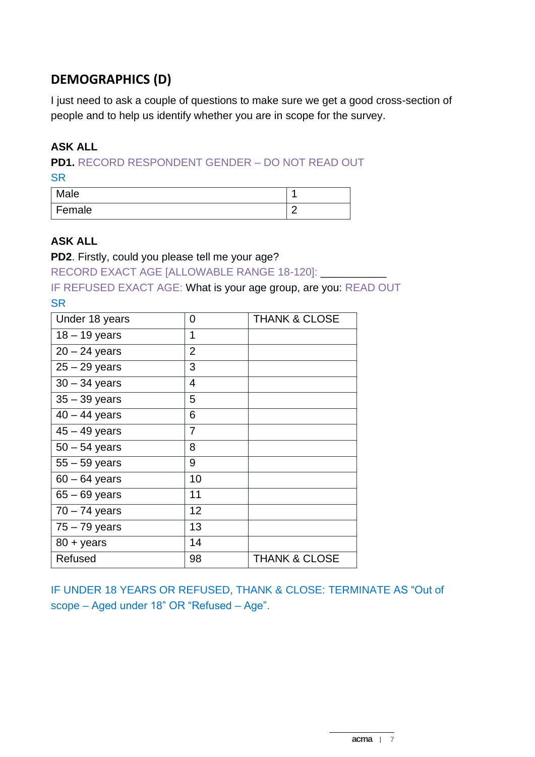# **DEMOGRAPHICS (D)**

I just need to ask a couple of questions to make sure we get a good cross-section of people and to help us identify whether you are in scope for the survey.

## **ASK ALL**

**PD1.** RECORD RESPONDENT GENDER – DO NOT READ OUT

**SR** 

| Male     |   |
|----------|---|
| ' Female | ╭ |

#### **ASK ALL**

**PD2**. Firstly, could you please tell me your age?

RECORD EXACT AGE [ALLOWABLE RANGE 18-120]:

IF REFUSED EXACT AGE: What is your age group, are you: READ OUT **SR** 

| Under 18 years      | 0              | <b>THANK &amp; CLOSE</b> |
|---------------------|----------------|--------------------------|
| $18 - 19$ years     | 1              |                          |
| $20 - 24$ years     | $\overline{2}$ |                          |
| $25 - 29$ years     | 3              |                          |
| $30 - 34$ years     | 4              |                          |
| $35 - 39$ years     | 5              |                          |
| $40 - 44$ years     | 6              |                          |
| $45 - 49$ years     | 7              |                          |
| $50 - 54$ years     | 8              |                          |
| $55 - 59$ years     | 9              |                          |
| $60 - 64$ years     | 10             |                          |
| $65 - 69$ years     | 11             |                          |
| $70 - 74$ years     | 12             |                          |
| $75 - 79$ years     | 13             |                          |
| $80 + \text{years}$ | 14             |                          |
| Refused             | 98             | <b>THANK &amp; CLOSE</b> |

IF UNDER 18 YEARS OR REFUSED, THANK & CLOSE: TERMINATE AS "Out of scope – Aged under 18" OR "Refused – Age".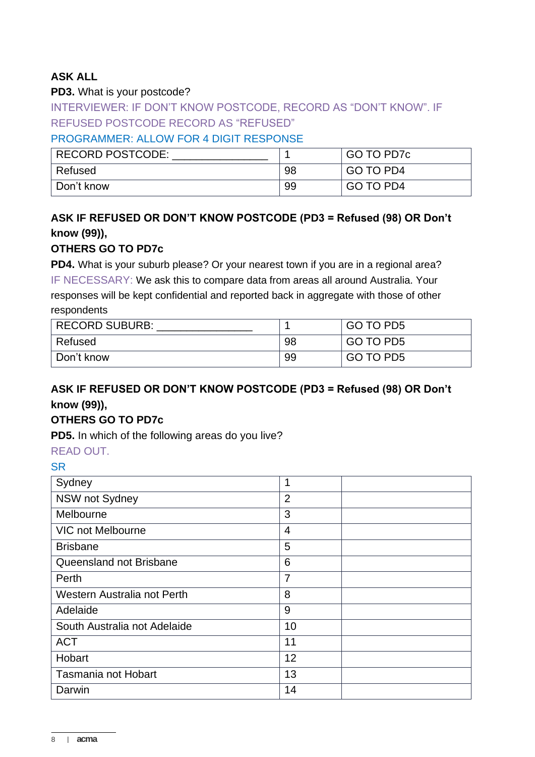## **ASK ALL**

#### **PD3.** What is your postcode?

INTERVIEWER: IF DON'T KNOW POSTCODE, RECORD AS "DON'T KNOW". IF REFUSED POSTCODE RECORD AS "REFUSED"

## PROGRAMMER: ALLOW FOR 4 DIGIT RESPONSE

| <b>RECORD POSTCODE:</b> |    | GO TO PD7c |
|-------------------------|----|------------|
| Refused                 | 98 | GO TO PD4  |
| Don't know              | 99 | GO TO PD4  |

## **ASK IF REFUSED OR DON'T KNOW POSTCODE (PD3 = Refused (98) OR Don't know (99)),**

#### **OTHERS GO TO PD7c**

**PD4.** What is your suburb please? Or your nearest town if you are in a regional area? IF NECESSARY: We ask this to compare data from areas all around Australia. Your responses will be kept confidential and reported back in aggregate with those of other respondents

| <b>RECORD SUBURB:</b> |    | GO TO PD5 |
|-----------------------|----|-----------|
| Refused               | 98 | GO TO PD5 |
| Don't know            | 99 | GO TO PD5 |

## **ASK IF REFUSED OR DON'T KNOW POSTCODE (PD3 = Refused (98) OR Don't know (99)),**

#### **OTHERS GO TO PD7c**

**PD5.** In which of the following areas do you live?

#### READ OUT.

| Sydney                       | 1              |
|------------------------------|----------------|
| NSW not Sydney               | $\overline{2}$ |
| Melbourne                    | 3              |
| <b>VIC not Melbourne</b>     | $\overline{4}$ |
| <b>Brisbane</b>              | 5              |
| Queensland not Brisbane      | 6              |
| Perth                        | 7              |
| Western Australia not Perth  | 8              |
| Adelaide                     | 9              |
| South Australia not Adelaide | 10             |
| <b>ACT</b>                   | 11             |
| Hobart                       | 12             |
| Tasmania not Hobart          | 13             |
| Darwin                       | 14             |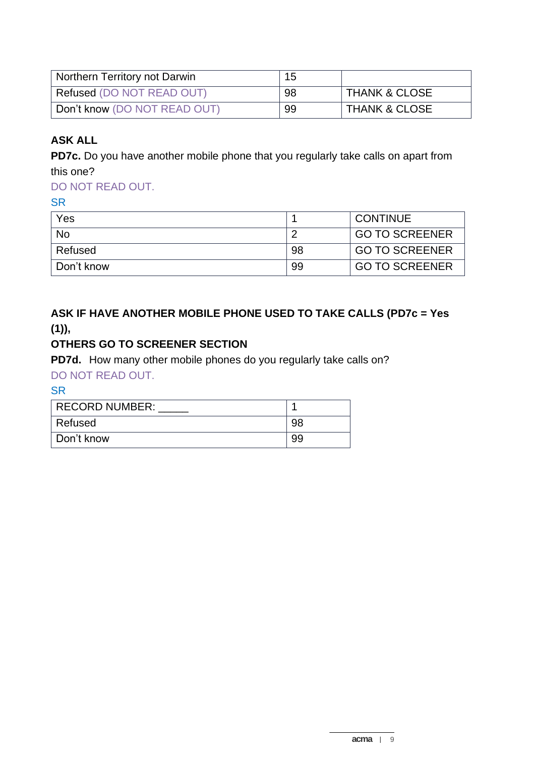| Northern Territory not Darwin    | 15 |                          |
|----------------------------------|----|--------------------------|
| <b>Refused (DO NOT READ OUT)</b> | 98 | <b>THANK &amp; CLOSE</b> |
| Don't know (DO NOT READ OUT)     | 99 | <b>THANK &amp; CLOSE</b> |

## **ASK ALL**

**PD7c.** Do you have another mobile phone that you regularly take calls on apart from this one?

## DO NOT READ OUT.

**SR** 

| Yes        |    | <b>CONTINUE</b>       |
|------------|----|-----------------------|
| <b>No</b>  |    | <b>GO TO SCREENER</b> |
| Refused    | 98 | <b>GO TO SCREENER</b> |
| Don't know | 99 | <b>GO TO SCREENER</b> |

## **ASK IF HAVE ANOTHER MOBILE PHONE USED TO TAKE CALLS (PD7c = Yes**   $(1)$ ,

## **OTHERS GO TO SCREENER SECTION**

**PD7d.** How many other mobile phones do you regularly take calls on?

DO NOT READ OUT.

| RECORD NUMBER: |     |
|----------------|-----|
| Refused        | 98  |
| ∣ Don't know   | .99 |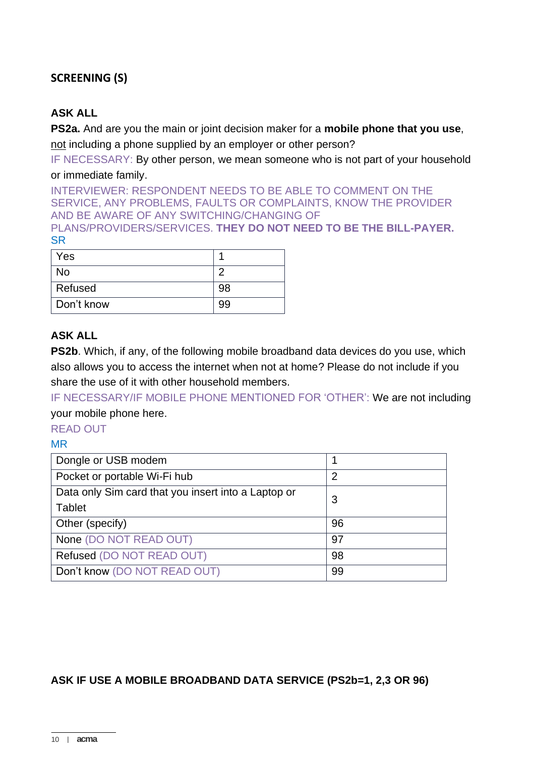## **SCREENING (S)**

## **ASK ALL**

**PS2a.** And are you the main or joint decision maker for a **mobile phone that you use**, not including a phone supplied by an employer or other person?

IF NECESSARY: By other person, we mean someone who is not part of your household or immediate family.

INTERVIEWER: RESPONDENT NEEDS TO BE ABLE TO COMMENT ON THE SERVICE, ANY PROBLEMS, FAULTS OR COMPLAINTS, KNOW THE PROVIDER AND BE AWARE OF ANY SWITCHING/CHANGING OF PLANS/PROVIDERS/SERVICES. **THEY DO NOT NEED TO BE THE BILL-PAYER. SR** 

| Yes        |    |
|------------|----|
| No         |    |
| Refused    | 98 |
| Don't know | 99 |

## **ASK ALL**

**PS2b.** Which, if any, of the following mobile broadband data devices do you use, which also allows you to access the internet when not at home? Please do not include if you share the use of it with other household members.

IF NECESSARY/IF MOBILE PHONE MENTIONED FOR 'OTHER': We are not including your mobile phone here.

READ OUT

MR

| Dongle or USB modem                                 |                |
|-----------------------------------------------------|----------------|
| Pocket or portable Wi-Fi hub                        | $\overline{2}$ |
| Data only Sim card that you insert into a Laptop or | 3              |
| Tablet                                              |                |
| Other (specify)                                     | 96             |
| None (DO NOT READ OUT)                              | 97             |
| Refused (DO NOT READ OUT)                           | 98             |
| Don't know (DO NOT READ OUT)                        | 99             |

#### **ASK IF USE A MOBILE BROADBAND DATA SERVICE (PS2b=1, 2,3 OR 96)**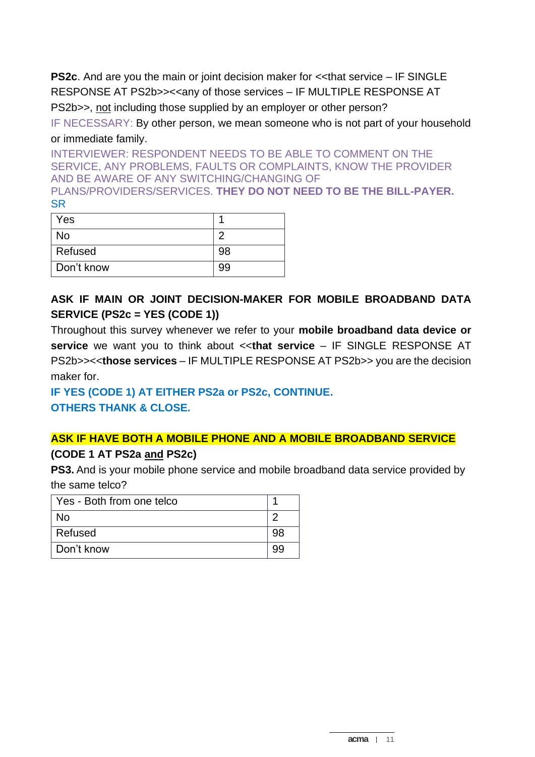**PS2c.** And are you the main or joint decision maker for  $\lt$  that service – IF SINGLE RESPONSE AT PS2b>><<any of those services – IF MULTIPLE RESPONSE AT PS2b>>, not including those supplied by an employer or other person?

IF NECESSARY: By other person, we mean someone who is not part of your household or immediate family.

INTERVIEWER: RESPONDENT NEEDS TO BE ABLE TO COMMENT ON THE SERVICE, ANY PROBLEMS, FAULTS OR COMPLAINTS, KNOW THE PROVIDER AND BE AWARE OF ANY SWITCHING/CHANGING OF PLANS/PROVIDERS/SERVICES. **THEY DO NOT NEED TO BE THE BILL-PAYER.** SR

| Yes        |    |
|------------|----|
| No         |    |
| Refused    | 98 |
| Don't know | 99 |

## **ASK IF MAIN OR JOINT DECISION-MAKER FOR MOBILE BROADBAND DATA SERVICE (PS2c = YES (CODE 1))**

Throughout this survey whenever we refer to your **mobile broadband data device or service** we want you to think about <<**that service** – IF SINGLE RESPONSE AT PS2b>><<**those services** – IF MULTIPLE RESPONSE AT PS2b>> you are the decision maker for.

# **IF YES (CODE 1) AT EITHER PS2a or PS2c, CONTINUE.**

**OTHERS THANK & CLOSE.**

# **ASK IF HAVE BOTH A MOBILE PHONE AND A MOBILE BROADBAND SERVICE**

## **(CODE 1 AT PS2a and PS2c)**

**PS3.** And is your mobile phone service and mobile broadband data service provided by the same telco?

| Yes - Both from one telco |  |
|---------------------------|--|
| No                        |  |
| Refused                   |  |
| Don't know                |  |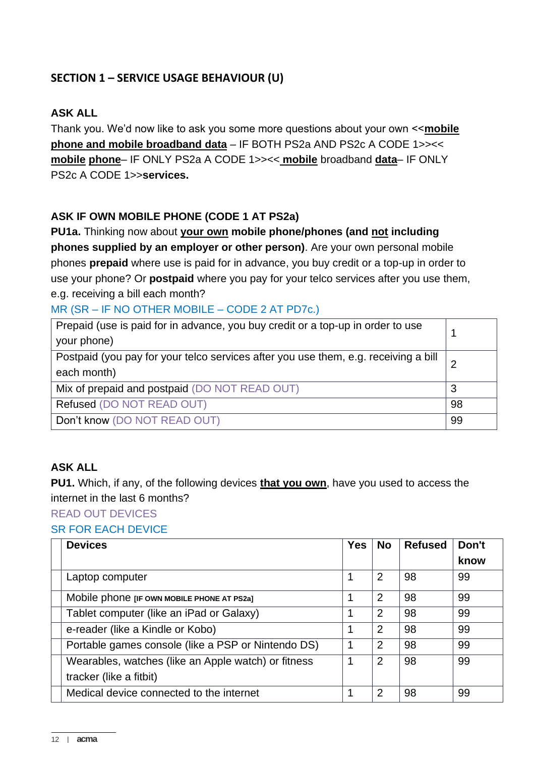## **SECTION 1 – SERVICE USAGE BEHAVIOUR (U)**

## **ASK ALL**

Thank you. We'd now like to ask you some more questions about your own <<**mobile phone and mobile broadband data** – IF BOTH PS2a AND PS2c A CODE 1>><< **mobile phone**– IF ONLY PS2a A CODE 1>><< **mobile** broadband **data**– IF ONLY PS2c A CODE 1>>**services.**

## **ASK IF OWN MOBILE PHONE (CODE 1 AT PS2a)**

**PU1a.** Thinking now about **your own mobile phone/phones (and not including phones supplied by an employer or other person)**. Are your own personal mobile phones **prepaid** where use is paid for in advance, you buy credit or a top-up in order to use your phone? Or **postpaid** where you pay for your telco services after you use them, e.g. receiving a bill each month?

## MR (SR – IF NO OTHER MOBILE – CODE 2 AT PD7c.)

| Prepaid (use is paid for in advance, you buy credit or a top-up in order to use<br>your phone) |    |  |  |  |
|------------------------------------------------------------------------------------------------|----|--|--|--|
|                                                                                                |    |  |  |  |
| Postpaid (you pay for your telco services after you use them, e.g. receiving a bill            |    |  |  |  |
| each month)                                                                                    |    |  |  |  |
| Mix of prepaid and postpaid (DO NOT READ OUT)                                                  | 3  |  |  |  |
| Refused (DO NOT READ OUT)                                                                      | 98 |  |  |  |
| Don't know (DO NOT READ OUT)                                                                   | 99 |  |  |  |

#### **ASK ALL**

**PU1.** Which, if any, of the following devices **that you own**, have you used to access the internet in the last 6 months?

READ OUT DEVICES

## SR FOR EACH DEVICE

| <b>Devices</b>                                      | <b>Yes</b> | <b>No</b> | <b>Refused</b> | Don't |
|-----------------------------------------------------|------------|-----------|----------------|-------|
|                                                     |            |           |                | know  |
| Laptop computer                                     |            | 2         | 98             | 99    |
| Mobile phone [IF OWN MOBILE PHONE AT PS2a]          |            | 2         | 98             | 99    |
| Tablet computer (like an iPad or Galaxy)            |            | 2         | 98             | 99    |
| e-reader (like a Kindle or Kobo)                    |            | 2         | 98             | 99    |
| Portable games console (like a PSP or Nintendo DS)  |            | 2         | 98             | 99    |
| Wearables, watches (like an Apple watch) or fitness |            | 2         | 98             | 99    |
| tracker (like a fitbit)                             |            |           |                |       |
| Medical device connected to the internet            |            | 2         | 98             | 99    |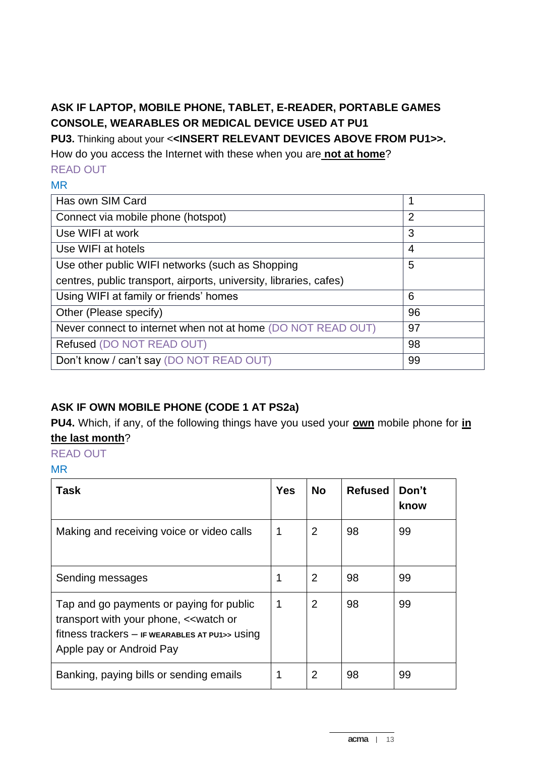## **ASK IF LAPTOP, MOBILE PHONE, TABLET, E-READER, PORTABLE GAMES CONSOLE, WEARABLES OR MEDICAL DEVICE USED AT PU1**

**PU3.** Thinking about your <**<INSERT RELEVANT DEVICES ABOVE FROM PU1>>.** 

How do you access the Internet with these when you are **not at home**?

# READ OUT

## MR

| Has own SIM Card                                                   | 1              |
|--------------------------------------------------------------------|----------------|
| Connect via mobile phone (hotspot)                                 | $\overline{2}$ |
| Use WIFI at work                                                   | 3              |
| Use WIFI at hotels                                                 | 4              |
| Use other public WIFI networks (such as Shopping                   | 5              |
| centres, public transport, airports, university, libraries, cafes) |                |
| Using WIFI at family or friends' homes                             | 6              |
| Other (Please specify)                                             | 96             |
| Never connect to internet when not at home (DO NOT READ OUT)       | 97             |
| Refused (DO NOT READ OUT)                                          | 98             |
| Don't know / can't say (DO NOT READ OUT)                           | 99             |

## **ASK IF OWN MOBILE PHONE (CODE 1 AT PS2a)**

**PU4.** Which, if any, of the following things have you used your **own** mobile phone for **in the last month**?

#### READ OUT

#### MR

| <b>Task</b>                                                                                                                                                                                     | <b>Yes</b> | <b>No</b>      | <b>Refused</b> | Don't<br>know |
|-------------------------------------------------------------------------------------------------------------------------------------------------------------------------------------------------|------------|----------------|----------------|---------------|
| Making and receiving voice or video calls                                                                                                                                                       |            | $\overline{2}$ | 98             | 99            |
| Sending messages                                                                                                                                                                                |            | $\overline{2}$ | 98             | 99            |
| Tap and go payments or paying for public<br>transport with your phone, < <watch or<br="">fitness trackers <math>-</math> IF WEARABLES AT PU1&gt;&gt; USING<br/>Apple pay or Android Pay</watch> |            | $\overline{2}$ | 98             | 99            |
| Banking, paying bills or sending emails                                                                                                                                                         |            | 2              | 98             | 99            |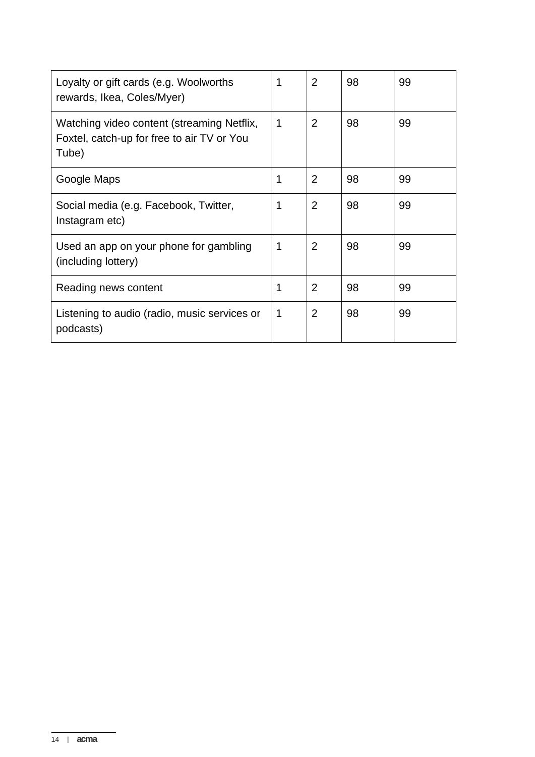| Loyalty or gift cards (e.g. Woolworths<br>rewards, Ikea, Coles/Myer)                              | 1           | 2              | 98 | 99 |
|---------------------------------------------------------------------------------------------------|-------------|----------------|----|----|
| Watching video content (streaming Netflix,<br>Foxtel, catch-up for free to air TV or You<br>Tube) | $\mathbf 1$ | $\overline{2}$ | 98 | 99 |
| Google Maps                                                                                       | 1           | $\overline{2}$ | 98 | 99 |
| Social media (e.g. Facebook, Twitter,<br>Instagram etc)                                           | 1           | $\overline{2}$ | 98 | 99 |
| Used an app on your phone for gambling<br>(including lottery)                                     | 1           | $\overline{2}$ | 98 | 99 |
| Reading news content                                                                              | 1           | 2              | 98 | 99 |
| Listening to audio (radio, music services or<br>podcasts)                                         | $\mathbf 1$ | 2              | 98 | 99 |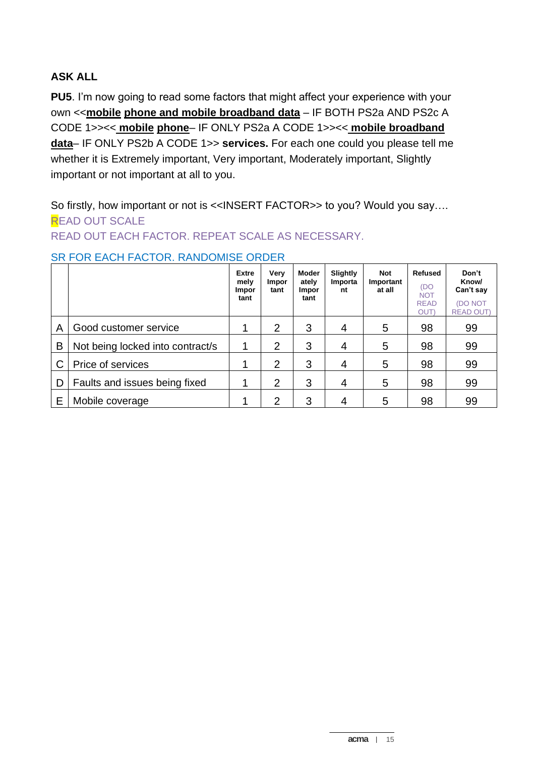## **ASK ALL**

**PU5**. I'm now going to read some factors that might affect your experience with your own <<**mobile phone and mobile broadband data** – IF BOTH PS2a AND PS2c A CODE 1>><< **mobile phone**– IF ONLY PS2a A CODE 1>><< **mobile broadband data**– IF ONLY PS2b A CODE 1>> **services.** For each one could you please tell me whether it is Extremely important, Very important, Moderately important, Slightly important or not important at all to you.

So firstly, how important or not is <<INSERT FACTOR>> to you? Would you say.... **READ OUT SCALE** 

## READ OUT EACH FACTOR. REPEAT SCALE AS NECESSARY.

|   |                                  | <b>Extre</b><br>mely<br><b>Impor</b><br>tant | Very<br><b>Impor</b><br>tant | Moder<br>ately<br><b>Impor</b><br>tant | Slightly<br>Importa<br>nt | <b>Not</b><br>Important<br>at all | <b>Refused</b><br>(DO)<br><b>NOT</b><br><b>READ</b><br><b>OUT</b> | Don't<br>Know/<br>Can't say<br><b>(DO NOT</b><br><b>READ OUT)</b> |
|---|----------------------------------|----------------------------------------------|------------------------------|----------------------------------------|---------------------------|-----------------------------------|-------------------------------------------------------------------|-------------------------------------------------------------------|
| Α | Good customer service            |                                              | $\overline{2}$               | 3                                      | 4                         | 5                                 | 98                                                                | 99                                                                |
| B | Not being locked into contract/s |                                              | $\overline{2}$               | 3                                      | 4                         | 5                                 | 98                                                                | 99                                                                |
|   | Price of services                |                                              | $\overline{2}$               | 3                                      | 4                         | 5                                 | 98                                                                | 99                                                                |
| D | Faults and issues being fixed    |                                              | $\overline{2}$               | 3                                      | 4                         | 5                                 | 98                                                                | 99                                                                |
| Е | Mobile coverage                  |                                              | $\overline{2}$               | 3                                      | 4                         | 5                                 | 98                                                                | 99                                                                |

#### SR FOR EACH FACTOR. RANDOMISE ORDER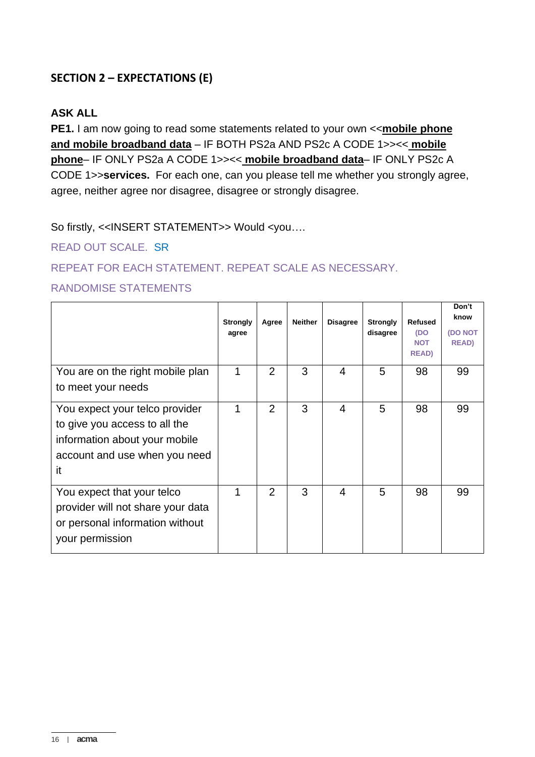## **SECTION 2 – EXPECTATIONS (E)**

#### **ASK ALL**

**PE1.** I am now going to read some statements related to your own <<**mobile phone and mobile broadband data** – IF BOTH PS2a AND PS2c A CODE 1>><< **mobile phone**– IF ONLY PS2a A CODE 1>><< **mobile broadband data**– IF ONLY PS2c A CODE 1>>**services.** For each one, can you please tell me whether you strongly agree, agree, neither agree nor disagree, disagree or strongly disagree.

So firstly, <<INSERT STATEMENT>> Would <you….

READ OUT SCALE. SR

REPEAT FOR EACH STATEMENT. REPEAT SCALE AS NECESSARY.

#### RANDOMISE STATEMENTS

|                                                                                                                                         | <b>Strongly</b><br>agree | Agree          | <b>Neither</b> | <b>Disagree</b> | <b>Strongly</b><br>disagree | <b>Refused</b><br>(DO<br><b>NOT</b><br><b>READ</b> ) | Don't<br>know<br><b>(DO NOT</b><br><b>READ)</b> |
|-----------------------------------------------------------------------------------------------------------------------------------------|--------------------------|----------------|----------------|-----------------|-----------------------------|------------------------------------------------------|-------------------------------------------------|
| You are on the right mobile plan<br>to meet your needs                                                                                  | 1                        | $\overline{2}$ | 3              | $\overline{4}$  | 5                           | 98                                                   | 99                                              |
| You expect your telco provider<br>to give you access to all the<br>information about your mobile<br>account and use when you need<br>it | 1                        | $\overline{2}$ | 3              | 4               | 5                           | 98                                                   | 99                                              |
| You expect that your telco<br>provider will not share your data<br>or personal information without<br>your permission                   | 1                        | $\overline{2}$ | 3              | $\overline{4}$  | 5                           | 98                                                   | 99                                              |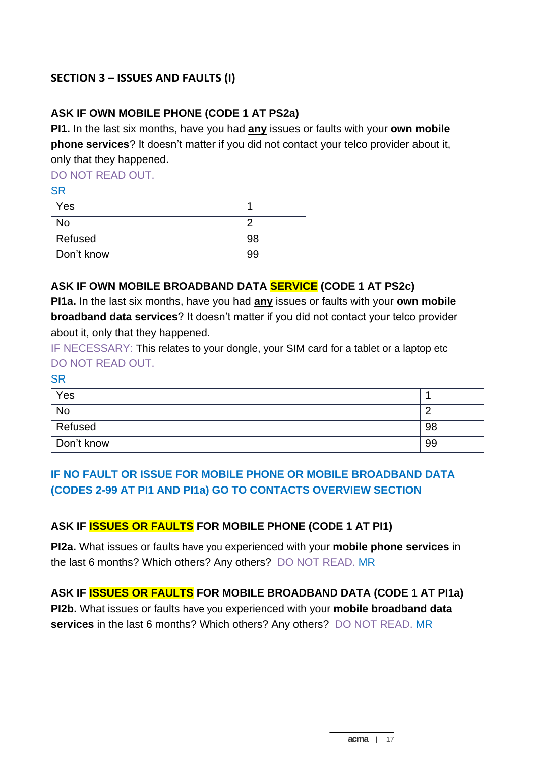## **SECTION 3 – ISSUES AND FAULTS (I)**

## **ASK IF OWN MOBILE PHONE (CODE 1 AT PS2a)**

**PI1.** In the last six months, have you had **any** issues or faults with your **own mobile phone services**? It doesn't matter if you did not contact your telco provider about it, only that they happened.

DO NOT READ OUT.

SR

| Yes        |    |
|------------|----|
| <b>No</b>  |    |
| Refused    | 98 |
| Don't know | 99 |

## **ASK IF OWN MOBILE BROADBAND DATA SERVICE (CODE 1 AT PS2c)**

**PI1a.** In the last six months, have you had **any** issues or faults with your **own mobile broadband data services**? It doesn't matter if you did not contact your telco provider about it, only that they happened.

IF NECESSARY: This relates to your dongle, your SIM card for a tablet or a laptop etc DO NOT READ OUT.

SR

| Yes        |    |
|------------|----|
| No         |    |
| Refused    | 98 |
| Don't know | 99 |

## **IF NO FAULT OR ISSUE FOR MOBILE PHONE OR MOBILE BROADBAND DATA (CODES 2-99 AT PI1 AND PI1a) GO TO CONTACTS OVERVIEW SECTION**

#### **ASK IF ISSUES OR FAULTS FOR MOBILE PHONE (CODE 1 AT PI1)**

**PI2a.** What issues or faults have you experienced with your **mobile phone services** in the last 6 months? Which others? Any others?DO NOT READ. MR

**ASK IF ISSUES OR FAULTS FOR MOBILE BROADBAND DATA (CODE 1 AT PI1a) PI2b.** What issues or faults have you experienced with your **mobile broadband data services** in the last 6 months? Which others? Any others?DO NOT READ. MR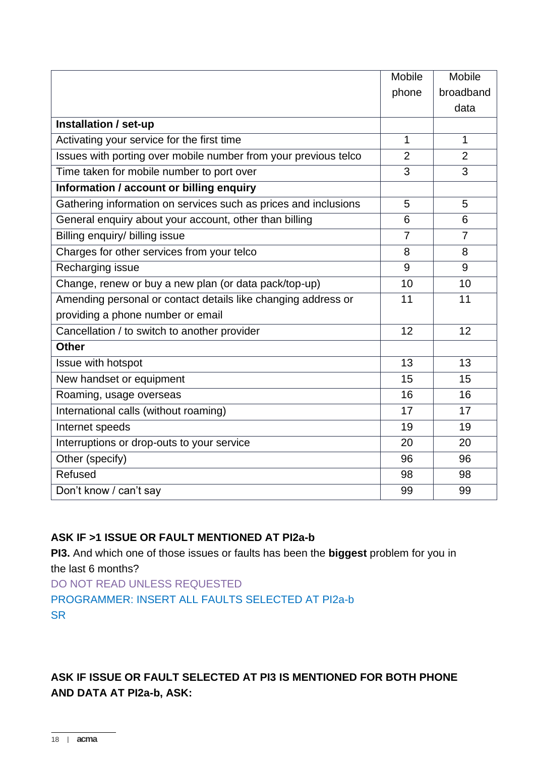|                                                                 | Mobile         | Mobile         |
|-----------------------------------------------------------------|----------------|----------------|
|                                                                 | phone          | broadband      |
|                                                                 |                | data           |
| Installation / set-up                                           |                |                |
| Activating your service for the first time                      | 1              | 1              |
| Issues with porting over mobile number from your previous telco | $\overline{2}$ | $\overline{2}$ |
| Time taken for mobile number to port over                       | 3              | 3              |
| Information / account or billing enquiry                        |                |                |
| Gathering information on services such as prices and inclusions | 5              | 5              |
| General enquiry about your account, other than billing          | 6              | 6              |
| Billing enquiry/ billing issue                                  | $\overline{7}$ | $\overline{7}$ |
| Charges for other services from your telco                      | 8              | 8              |
| Recharging issue                                                | 9              | 9              |
| Change, renew or buy a new plan (or data pack/top-up)           | 10             | 10             |
| Amending personal or contact details like changing address or   | 11             | 11             |
| providing a phone number or email                               |                |                |
| Cancellation / to switch to another provider                    | 12             | 12             |
| <b>Other</b>                                                    |                |                |
| Issue with hotspot                                              | 13             | 13             |
| New handset or equipment                                        | 15             | 15             |
| Roaming, usage overseas                                         | 16             | 16             |
| International calls (without roaming)                           | 17             | 17             |
| Internet speeds                                                 | 19             | 19             |
| Interruptions or drop-outs to your service                      | 20             | 20             |
| Other (specify)                                                 | 96             | 96             |
| Refused                                                         | 98             | 98             |
| Don't know / can't say                                          | 99             | 99             |

## **ASK IF >1 ISSUE OR FAULT MENTIONED AT PI2a-b**

**PI3.** And which one of those issues or faults has been the **biggest** problem for you in the last 6 months? DO NOT READ UNLESS REQUESTED PROGRAMMER: INSERT ALL FAULTS SELECTED AT PI2a-b **SR** 

**ASK IF ISSUE OR FAULT SELECTED AT PI3 IS MENTIONED FOR BOTH PHONE AND DATA AT PI2a-b, ASK:**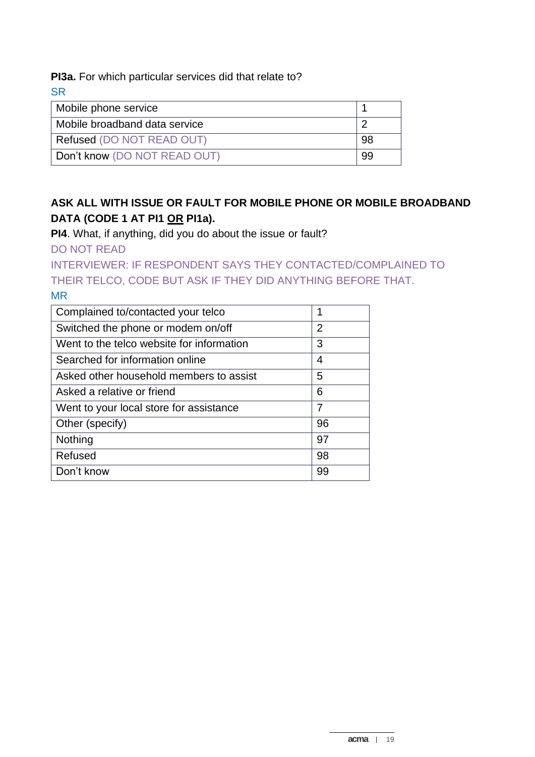**PI3a.** For which particular services did that relate to?

**SR** 

| Mobile phone service             |     |
|----------------------------------|-----|
| Mobile broadband data service    |     |
| <b>Refused (DO NOT READ OUT)</b> | -98 |
| Don't know (DO NOT READ OUT)     | 99  |

## **ASK ALL WITH ISSUE OR FAULT FOR MOBILE PHONE OR MOBILE BROADBAND DATA (CODE 1 AT PI1 OR PI1a).**

**PI4**. What, if anything, did you do about the issue or fault?

DO NOT READ

INTERVIEWER: IF RESPONDENT SAYS THEY CONTACTED/COMPLAINED TO THEIR TELCO, CODE BUT ASK IF THEY DID ANYTHING BEFORE THAT. MR

| $\overline{2}$ |
|----------------|
| 3              |
| 4              |
| 5              |
| 6              |
| 7              |
| 96             |
| 97             |
| 98             |
| 99             |
|                |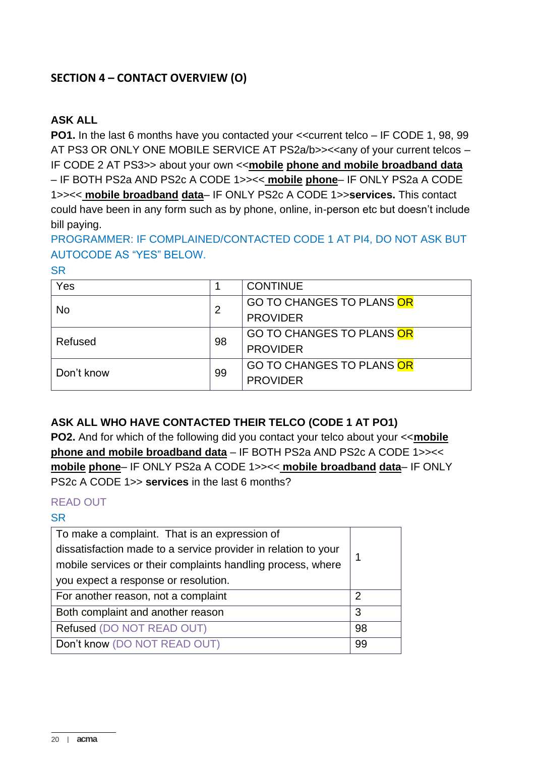## **SECTION 4 – CONTACT OVERVIEW (O)**

## **ASK ALL**

**PO1.** In the last 6 months have you contacted your << current telco – IF CODE 1, 98, 99 AT PS3 OR ONLY ONE MOBILE SERVICE AT PS2a/b>><<any of your current telcos – IF CODE 2 AT PS3>> about your own <<**mobile phone and mobile broadband data** – IF BOTH PS2a AND PS2c A CODE 1>><< **mobile phone**– IF ONLY PS2a A CODE 1>><< **mobile broadband data**– IF ONLY PS2c A CODE 1>>**services.** This contact could have been in any form such as by phone, online, in-person etc but doesn't include bill paying.

PROGRAMMER: IF COMPLAINED/CONTACTED CODE 1 AT PI4, DO NOT ASK BUT AUTOCODE AS "YES" BELOW.

SR

| Yes        |    | <b>CONTINUE</b>           |
|------------|----|---------------------------|
|            | 2  | GO TO CHANGES TO PLANS OR |
| No         |    | <b>PROVIDER</b>           |
|            | 98 | GO TO CHANGES TO PLANS OR |
| Refused    |    | <b>PROVIDER</b>           |
| Don't know | 99 | GO TO CHANGES TO PLANS OR |
|            |    | <b>PROVIDER</b>           |

#### **ASK ALL WHO HAVE CONTACTED THEIR TELCO (CODE 1 AT PO1)**

**PO2.** And for which of the following did you contact your telco about your <<**mobile phone and mobile broadband data** – IF BOTH PS2a AND PS2c A CODE 1>><< **mobile phone**– IF ONLY PS2a A CODE 1>><< **mobile broadband data**– IF ONLY PS2c A CODE 1>> **services** in the last 6 months?

#### READ OUT

| To make a complaint. That is an expression of                  |    |  |
|----------------------------------------------------------------|----|--|
| dissatisfaction made to a service provider in relation to your |    |  |
| mobile services or their complaints handling process, where    |    |  |
| you expect a response or resolution.                           |    |  |
| For another reason, not a complaint                            | 2  |  |
| Both complaint and another reason                              | 3  |  |
| Refused (DO NOT READ OUT)                                      | 98 |  |
| Don't know (DO NOT READ OUT)                                   | 99 |  |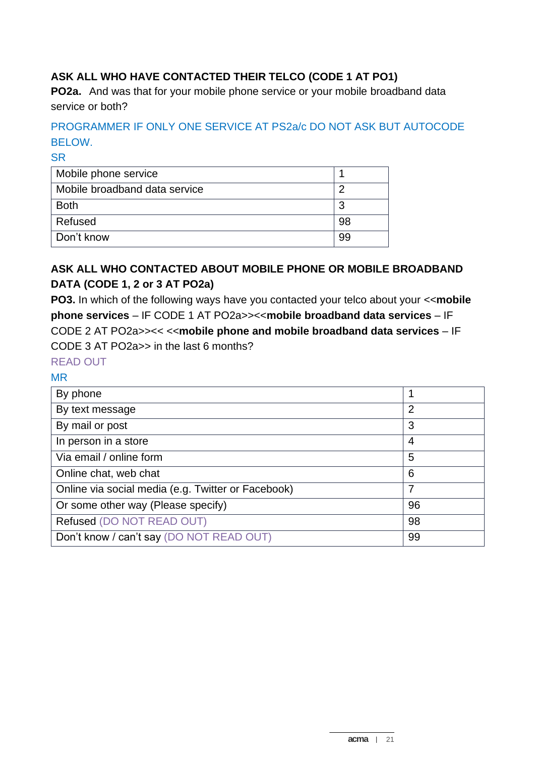## **ASK ALL WHO HAVE CONTACTED THEIR TELCO (CODE 1 AT PO1)**

**PO2a.** And was that for your mobile phone service or your mobile broadband data service or both?

## PROGRAMMER IF ONLY ONE SERVICE AT PS2a/c DO NOT ASK BUT AUTOCODE BELOW.

**SR** 

| Mobile phone service          |    |
|-------------------------------|----|
| Mobile broadband data service |    |
| <b>Both</b>                   | 3  |
| Refused                       | 98 |
| Don't know                    | 99 |

## **ASK ALL WHO CONTACTED ABOUT MOBILE PHONE OR MOBILE BROADBAND DATA (CODE 1, 2 or 3 AT PO2a)**

**PO3.** In which of the following ways have you contacted your telco about your <<**mobile phone services** – IF CODE 1 AT PO2a>><<**mobile broadband data services** – IF CODE 2 AT PO2a>><< <<**mobile phone and mobile broadband data services** – IF CODE 3 AT PO2a>> in the last 6 months?

## READ OUT

#### MR

| By phone                                           | 1              |
|----------------------------------------------------|----------------|
| By text message                                    | $\overline{2}$ |
| By mail or post                                    | 3              |
| In person in a store                               | 4              |
| Via email / online form                            | 5              |
| Online chat, web chat                              | 6              |
| Online via social media (e.g. Twitter or Facebook) | 7              |
| Or some other way (Please specify)                 | 96             |
| Refused (DO NOT READ OUT)                          | 98             |
| Don't know / can't say (DO NOT READ OUT)           | 99             |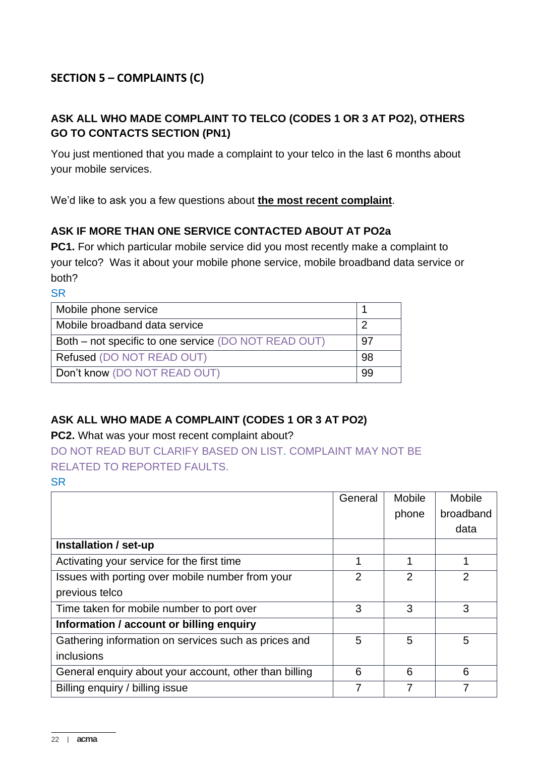## **SECTION 5 – COMPLAINTS (C)**

## **ASK ALL WHO MADE COMPLAINT TO TELCO (CODES 1 OR 3 AT PO2), OTHERS GO TO CONTACTS SECTION (PN1)**

You just mentioned that you made a complaint to your telco in the last 6 months about your mobile services.

We'd like to ask you a few questions about **the most recent complaint**.

#### **ASK IF MORE THAN ONE SERVICE CONTACTED ABOUT AT PO2a**

**PC1.** For which particular mobile service did you most recently make a complaint to your telco? Was it about your mobile phone service, mobile broadband data service or both?

**SR** 

| Mobile phone service                                 |     |
|------------------------------------------------------|-----|
| Mobile broadband data service                        |     |
| Both – not specific to one service (DO NOT READ OUT) | .97 |
| Refused (DO NOT READ OUT)                            | 98  |
| Don't know (DO NOT READ OUT)                         | 99  |

## **ASK ALL WHO MADE A COMPLAINT (CODES 1 OR 3 AT PO2)**

#### **PC2.** What was your most recent complaint about?

DO NOT READ BUT CLARIFY BASED ON LIST. COMPLAINT MAY NOT BE RELATED TO REPORTED FAULTS.

|                                                        | General | <b>Mobile</b>  | <b>Mobile</b> |
|--------------------------------------------------------|---------|----------------|---------------|
|                                                        |         | phone          | broadband     |
|                                                        |         |                | data          |
| Installation / set-up                                  |         |                |               |
| Activating your service for the first time             |         | 1              |               |
| Issues with porting over mobile number from your       | 2       | $\overline{2}$ | 2             |
| previous telco                                         |         |                |               |
| Time taken for mobile number to port over              | 3       | 3              | 3             |
| Information / account or billing enquiry               |         |                |               |
| Gathering information on services such as prices and   | 5       | 5              | 5             |
| inclusions                                             |         |                |               |
| General enquiry about your account, other than billing | 6       | 6              | 6             |
| Billing enquiry / billing issue                        | 7       | 7              |               |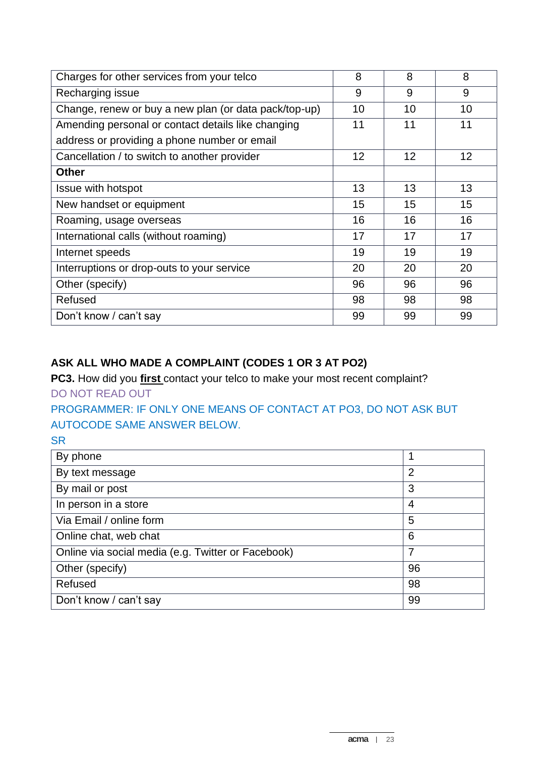| Charges for other services from your telco            | 8  | 8  | 8  |
|-------------------------------------------------------|----|----|----|
| Recharging issue                                      | 9  | 9  | 9  |
| Change, renew or buy a new plan (or data pack/top-up) | 10 | 10 | 10 |
| Amending personal or contact details like changing    | 11 | 11 | 11 |
| address or providing a phone number or email          |    |    |    |
| Cancellation / to switch to another provider          | 12 | 12 | 12 |
| <b>Other</b>                                          |    |    |    |
| <b>Issue with hotspot</b>                             | 13 | 13 | 13 |
| New handset or equipment                              | 15 | 15 | 15 |
| Roaming, usage overseas                               | 16 | 16 | 16 |
| International calls (without roaming)                 | 17 | 17 | 17 |
| Internet speeds                                       | 19 | 19 | 19 |
| Interruptions or drop-outs to your service            | 20 | 20 | 20 |
| Other (specify)                                       | 96 | 96 | 96 |
| Refused                                               | 98 | 98 | 98 |
| Don't know / can't say                                | 99 | 99 | 99 |

## **ASK ALL WHO MADE A COMPLAINT (CODES 1 OR 3 AT PO2)**

**PC3.** How did you **first** contact your telco to make your most recent complaint? DO NOT READ OUT

PROGRAMMER: IF ONLY ONE MEANS OF CONTACT AT PO3, DO NOT ASK BUT AUTOCODE SAME ANSWER BELOW.

| By phone                                           |    |
|----------------------------------------------------|----|
| By text message                                    | 2  |
| By mail or post                                    | 3  |
| In person in a store                               | 4  |
| Via Email / online form                            | 5  |
| Online chat, web chat                              | 6  |
| Online via social media (e.g. Twitter or Facebook) | 7  |
| Other (specify)                                    | 96 |
| Refused                                            | 98 |
| Don't know / can't say                             | 99 |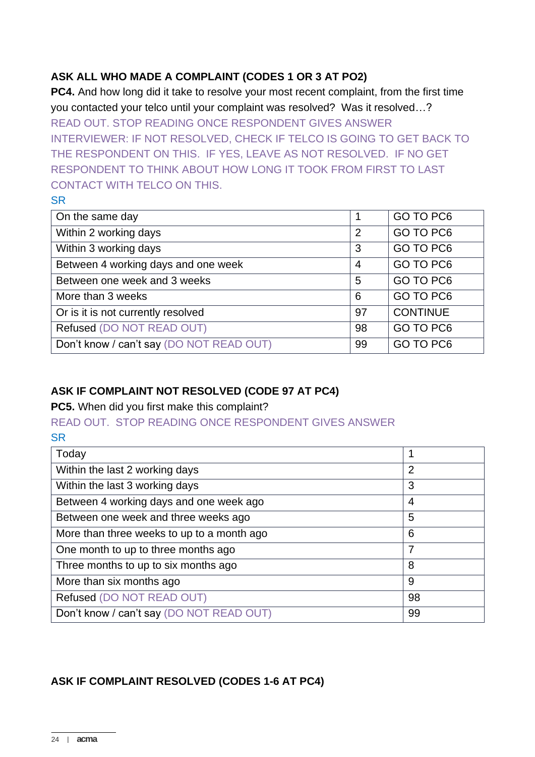## **ASK ALL WHO MADE A COMPLAINT (CODES 1 OR 3 AT PO2)**

**PC4.** And how long did it take to resolve your most recent complaint, from the first time you contacted your telco until your complaint was resolved? Was it resolved…? READ OUT. STOP READING ONCE RESPONDENT GIVES ANSWER INTERVIEWER: IF NOT RESOLVED, CHECK IF TELCO IS GOING TO GET BACK TO THE RESPONDENT ON THIS. IF YES, LEAVE AS NOT RESOLVED. IF NO GET RESPONDENT TO THINK ABOUT HOW LONG IT TOOK FROM FIRST TO LAST CONTACT WITH TELCO ON THIS.

#### **SR**

| On the same day                          |                | GO TO PC6       |
|------------------------------------------|----------------|-----------------|
| Within 2 working days                    | $\overline{2}$ | GO TO PC6       |
| Within 3 working days                    | 3              | GO TO PC6       |
| Between 4 working days and one week      | $\overline{4}$ | GO TO PC6       |
| Between one week and 3 weeks             | 5              | GO TO PC6       |
| More than 3 weeks                        | 6              | GO TO PC6       |
| Or is it is not currently resolved       | 97             | <b>CONTINUE</b> |
| Refused (DO NOT READ OUT)                | 98             | GO TO PC6       |
| Don't know / can't say (DO NOT READ OUT) | 99             | GO TO PC6       |

## **ASK IF COMPLAINT NOT RESOLVED (CODE 97 AT PC4)**

**PC5.** When did you first make this complaint?

#### READ OUT. STOP READING ONCE RESPONDENT GIVES ANSWER SR

| Today                                      |    |
|--------------------------------------------|----|
| Within the last 2 working days             | 2  |
| Within the last 3 working days             | 3  |
| Between 4 working days and one week ago    | 4  |
| Between one week and three weeks ago       | 5  |
| More than three weeks to up to a month ago | 6  |
| One month to up to three months ago        | 7  |
| Three months to up to six months ago       | 8  |
| More than six months ago                   | 9  |
| Refused (DO NOT READ OUT)                  | 98 |
| Don't know / can't say (DO NOT READ OUT)   | 99 |

## **ASK IF COMPLAINT RESOLVED (CODES 1-6 AT PC4)**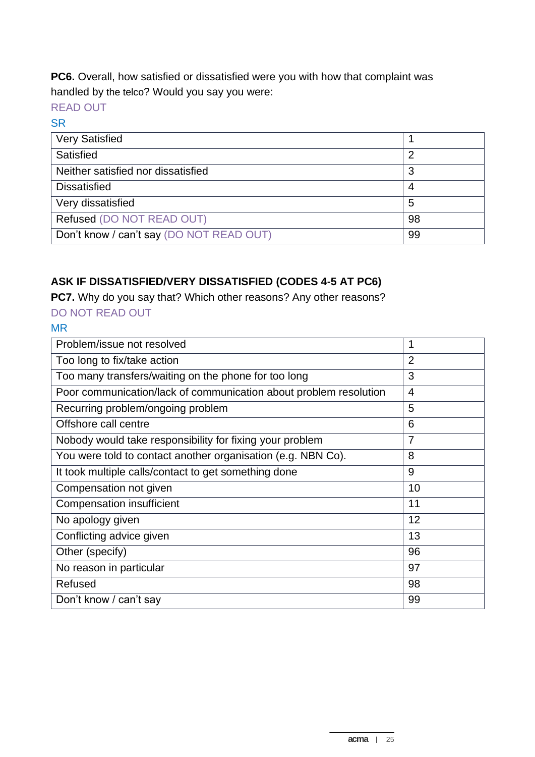**PC6.** Overall, how satisfied or dissatisfied were you with how that complaint was handled by the telco? Would you say you were:

## READ OUT

#### **SR**

| <b>Very Satisfied</b>                    |    |
|------------------------------------------|----|
| Satisfied                                | 2  |
| Neither satisfied nor dissatisfied       | 3  |
| <b>Dissatisfied</b>                      | 4  |
| Very dissatisfied                        | 5  |
| Refused (DO NOT READ OUT)                | 98 |
| Don't know / can't say (DO NOT READ OUT) | 99 |

## **ASK IF DISSATISFIED/VERY DISSATISFIED (CODES 4-5 AT PC6)**

**PC7.** Why do you say that? Which other reasons? Any other reasons?

## DO NOT READ OUT

## MR

| Problem/issue not resolved                                        | 1              |
|-------------------------------------------------------------------|----------------|
| Too long to fix/take action                                       | $\overline{2}$ |
| Too many transfers/waiting on the phone for too long              | 3              |
| Poor communication/lack of communication about problem resolution | $\overline{4}$ |
| Recurring problem/ongoing problem                                 | 5              |
| Offshore call centre                                              | 6              |
| Nobody would take responsibility for fixing your problem          | $\overline{7}$ |
| You were told to contact another organisation (e.g. NBN Co).      | 8              |
| It took multiple calls/contact to get something done              | 9              |
| Compensation not given                                            | 10             |
| <b>Compensation insufficient</b>                                  | 11             |
| No apology given                                                  | 12             |
| Conflicting advice given                                          | 13             |
| Other (specify)                                                   | 96             |
| No reason in particular                                           | 97             |
| Refused                                                           | 98             |
| Don't know / can't say                                            | 99             |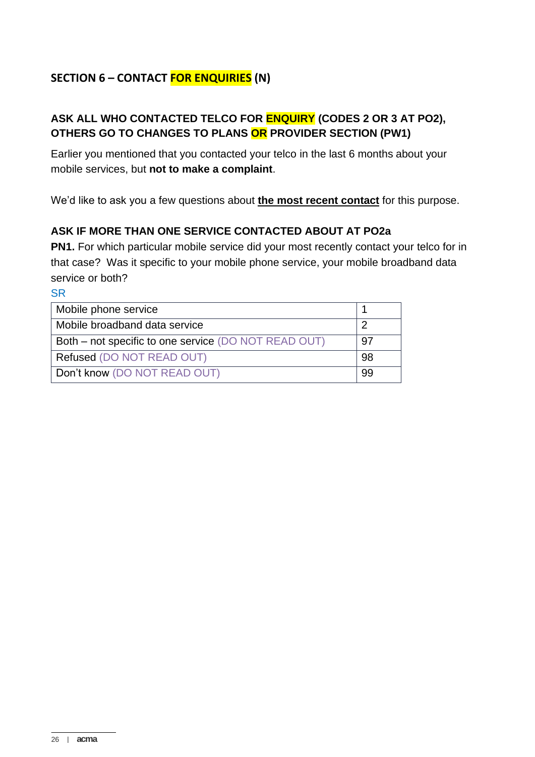## **SECTION 6 – CONTACT FOR ENQUIRIES (N)**

## **ASK ALL WHO CONTACTED TELCO FOR ENQUIRY (CODES 2 OR 3 AT PO2), OTHERS GO TO CHANGES TO PLANS OR PROVIDER SECTION (PW1)**

Earlier you mentioned that you contacted your telco in the last 6 months about your mobile services, but **not to make a complaint**.

We'd like to ask you a few questions about **the most recent contact** for this purpose.

## **ASK IF MORE THAN ONE SERVICE CONTACTED ABOUT AT PO2a**

**PN1.** For which particular mobile service did your most recently contact your telco for in that case? Was it specific to your mobile phone service, your mobile broadband data service or both?

| Mobile phone service                                 |     |
|------------------------------------------------------|-----|
| Mobile broadband data service                        |     |
| Both – not specific to one service (DO NOT READ OUT) | .97 |
| Refused (DO NOT READ OUT)                            | 98  |
| Don't know (DO NOT READ OUT)                         | 99  |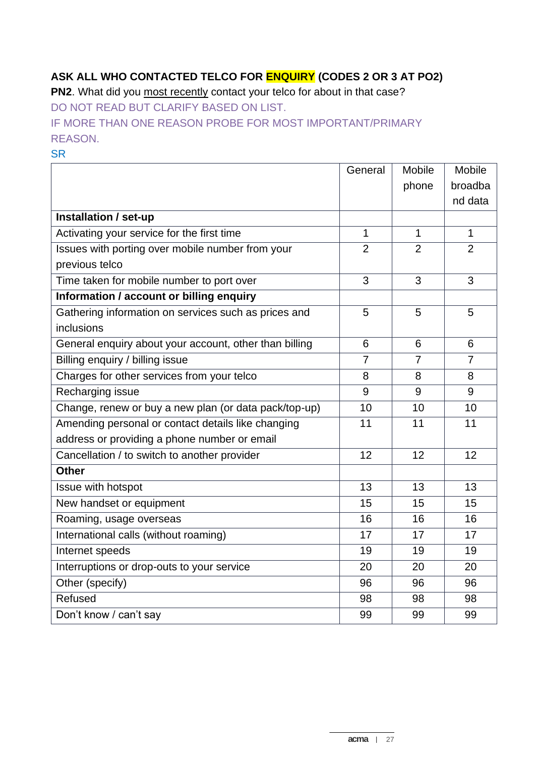# **ASK ALL WHO CONTACTED TELCO FOR ENQUIRY (CODES 2 OR 3 AT PO2)**

**PN2**. What did you most recently contact your telco for about in that case? DO NOT READ BUT CLARIFY BASED ON LIST.

IF MORE THAN ONE REASON PROBE FOR MOST IMPORTANT/PRIMARY REASON.

|                                                        | General        | Mobile         | <b>Mobile</b>  |
|--------------------------------------------------------|----------------|----------------|----------------|
|                                                        |                | phone          | broadba        |
|                                                        |                |                | nd data        |
| Installation / set-up                                  |                |                |                |
| Activating your service for the first time             | $\mathbf{1}$   | $\mathbf{1}$   | $\mathbf{1}$   |
| Issues with porting over mobile number from your       | $\overline{2}$ | $\overline{2}$ | $\overline{2}$ |
| previous telco                                         |                |                |                |
| Time taken for mobile number to port over              | 3              | 3              | 3              |
| Information / account or billing enquiry               |                |                |                |
| Gathering information on services such as prices and   | 5              | 5              | 5              |
| inclusions                                             |                |                |                |
| General enquiry about your account, other than billing | 6              | 6              | 6              |
| Billing enquiry / billing issue                        | $\overline{7}$ | $\overline{7}$ | $\overline{7}$ |
| Charges for other services from your telco             | 8              | 8              | 8              |
| Recharging issue                                       | 9              | 9              | 9              |
| Change, renew or buy a new plan (or data pack/top-up)  | 10             | 10             | 10             |
| Amending personal or contact details like changing     | 11             | 11             | 11             |
| address or providing a phone number or email           |                |                |                |
| Cancellation / to switch to another provider           | 12             | 12             | 12             |
| <b>Other</b>                                           |                |                |                |
| Issue with hotspot                                     | 13             | 13             | 13             |
| New handset or equipment                               | 15             | 15             | 15             |
| Roaming, usage overseas                                | 16             | 16             | 16             |
| International calls (without roaming)                  | 17             | 17             | 17             |
| Internet speeds                                        | 19             | 19             | 19             |
| Interruptions or drop-outs to your service             | 20             | 20             | 20             |
| Other (specify)                                        | 96             | 96             | 96             |
| Refused                                                | 98             | 98             | 98             |
| Don't know / can't say                                 | 99             | 99             | 99             |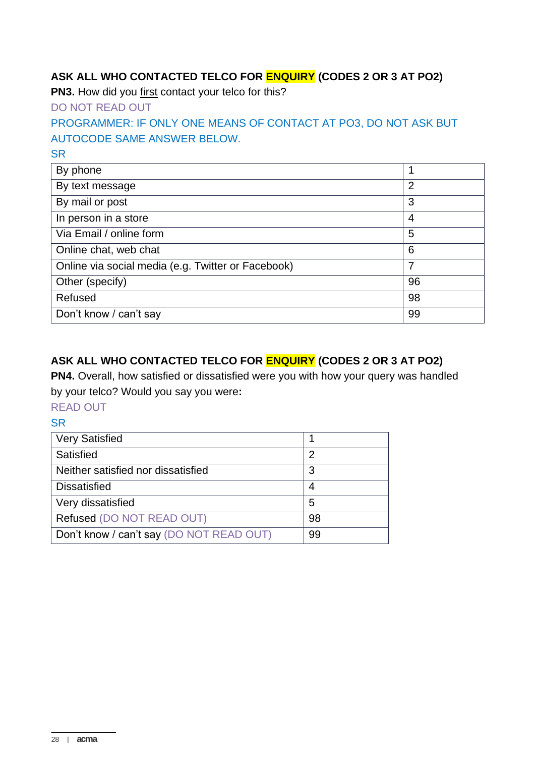## **ASK ALL WHO CONTACTED TELCO FOR ENQUIRY (CODES 2 OR 3 AT PO2)**

**PN3.** How did you first contact your telco for this?

DO NOT READ OUT

## PROGRAMMER: IF ONLY ONE MEANS OF CONTACT AT PO3, DO NOT ASK BUT AUTOCODE SAME ANSWER BELOW.

**SR** 

| By phone                                           |                |
|----------------------------------------------------|----------------|
| By text message                                    | $\overline{2}$ |
| By mail or post                                    | 3              |
| In person in a store                               | 4              |
| Via Email / online form                            | 5              |
| Online chat, web chat                              | 6              |
| Online via social media (e.g. Twitter or Facebook) | 7              |
| Other (specify)                                    | 96             |
| Refused                                            | 98             |
| Don't know / can't say                             | 99             |

## **ASK ALL WHO CONTACTED TELCO FOR ENQUIRY (CODES 2 OR 3 AT PO2)**

**PN4.** Overall, how satisfied or dissatisfied were you with how your query was handled by your telco? Would you say you were**:**

READ OUT

| <b>Very Satisfied</b>                    |    |
|------------------------------------------|----|
| Satisfied                                | 2  |
| Neither satisfied nor dissatisfied       | 3  |
| <b>Dissatisfied</b>                      |    |
| Very dissatisfied                        | 5  |
| Refused (DO NOT READ OUT)                | 98 |
| Don't know / can't say (DO NOT READ OUT) | 99 |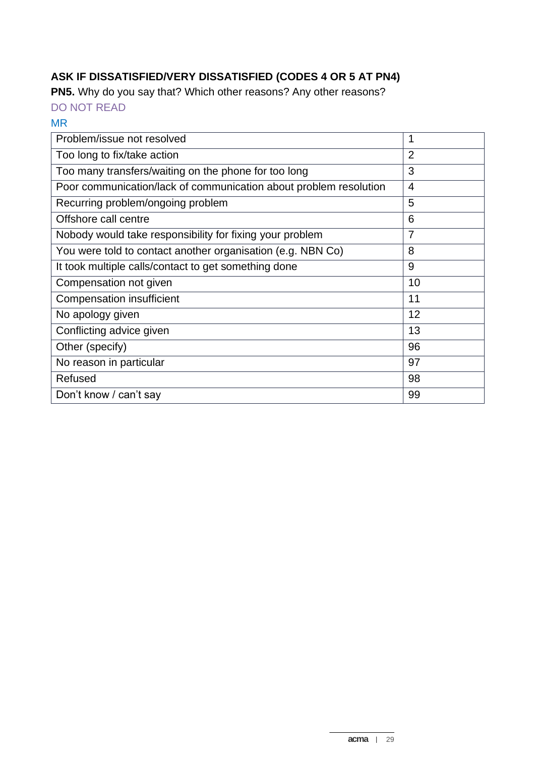# **ASK IF DISSATISFIED/VERY DISSATISFIED (CODES 4 OR 5 AT PN4)**

**PN5.** Why do you say that? Which other reasons? Any other reasons?

DO NOT READ

#### MR

| Problem/issue not resolved                                        | 1              |
|-------------------------------------------------------------------|----------------|
| Too long to fix/take action                                       | $\overline{2}$ |
| Too many transfers/waiting on the phone for too long              | 3              |
| Poor communication/lack of communication about problem resolution | $\overline{4}$ |
| Recurring problem/ongoing problem                                 | 5              |
| Offshore call centre                                              | 6              |
| Nobody would take responsibility for fixing your problem          | 7              |
| You were told to contact another organisation (e.g. NBN Co)       | 8              |
| It took multiple calls/contact to get something done              | 9              |
| Compensation not given                                            | 10             |
| <b>Compensation insufficient</b>                                  | 11             |
| No apology given                                                  | 12             |
| Conflicting advice given                                          | 13             |
| Other (specify)                                                   | 96             |
| No reason in particular                                           | 97             |
| Refused                                                           | 98             |
| Don't know / can't say                                            | 99             |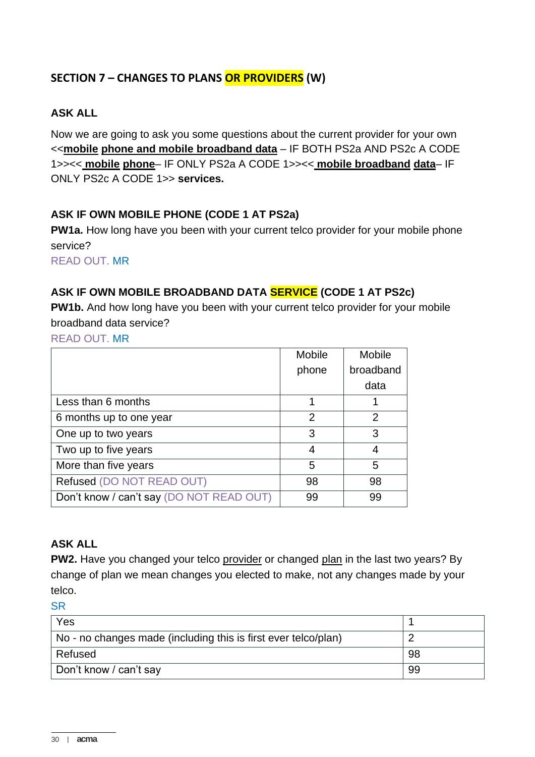## **SECTION 7 – CHANGES TO PLANS OR PROVIDERS (W)**

#### **ASK ALL**

Now we are going to ask you some questions about the current provider for your own <<**mobile phone and mobile broadband data** – IF BOTH PS2a AND PS2c A CODE 1>><< **mobile phone**– IF ONLY PS2a A CODE 1>><< **mobile broadband data**– IF ONLY PS2c A CODE 1>> **services.**

#### **ASK IF OWN MOBILE PHONE (CODE 1 AT PS2a)**

**PW1a.** How long have you been with your current telco provider for your mobile phone service?

READ OUT. MR

#### **ASK IF OWN MOBILE BROADBAND DATA SERVICE (CODE 1 AT PS2c)**

**PW1b.** And how long have you been with your current telco provider for your mobile broadband data service?

READ OUT. MR

|                                          | Mobile | <b>Mobile</b> |
|------------------------------------------|--------|---------------|
|                                          | phone  | broadband     |
|                                          |        | data          |
| Less than 6 months                       |        |               |
| 6 months up to one year                  | 2      | 2             |
| One up to two years                      | 3      | 3             |
| Two up to five years                     | 4      | 4             |
| More than five years                     | 5      | 5             |
| Refused (DO NOT READ OUT)                | 98     | 98            |
| Don't know / can't say (DO NOT READ OUT) | 99     | 99            |

#### **ASK ALL**

**PW2.** Have you changed your telco provider or changed plan in the last two years? By change of plan we mean changes you elected to make, not any changes made by your telco.

| Yes                                                            |    |
|----------------------------------------------------------------|----|
| No - no changes made (including this is first ever telco/plan) |    |
| Refused                                                        | 98 |
| Don't know / can't say                                         | 99 |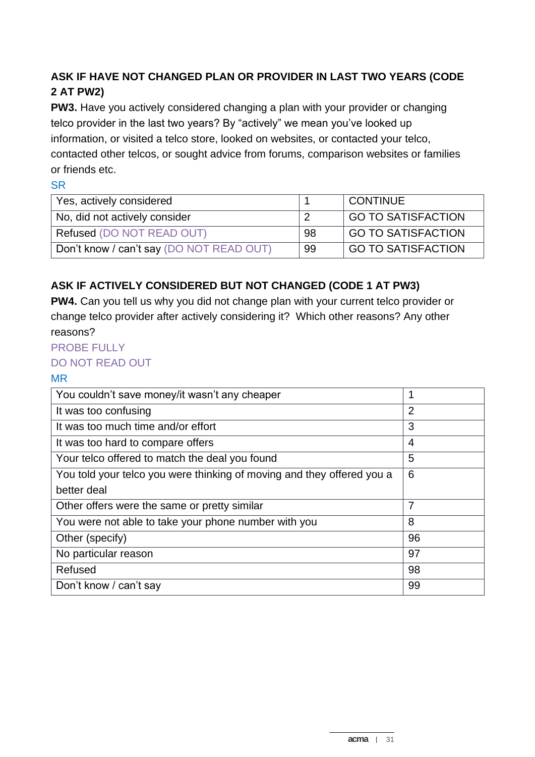## **ASK IF HAVE NOT CHANGED PLAN OR PROVIDER IN LAST TWO YEARS (CODE 2 AT PW2)**

**PW3.** Have you actively considered changing a plan with your provider or changing telco provider in the last two years? By "actively" we mean you've looked up information, or visited a telco store, looked on websites, or contacted your telco, contacted other telcos, or sought advice from forums, comparison websites or families or friends etc.

#### SR

| Yes, actively considered                 |    | <b>CONTINUE</b>           |
|------------------------------------------|----|---------------------------|
| No, did not actively consider            |    | <b>GO TO SATISFACTION</b> |
| Refused (DO NOT READ OUT)                | 98 | GO TO SATISFACTION        |
| Don't know / can't say (DO NOT READ OUT) | 99 | <b>GO TO SATISFACTION</b> |

## **ASK IF ACTIVELY CONSIDERED BUT NOT CHANGED (CODE 1 AT PW3)**

**PW4.** Can you tell us why you did not change plan with your current telco provider or change telco provider after actively considering it? Which other reasons? Any other reasons?

#### PROBE FULLY

#### DO NOT READ OUT

#### MR

| You couldn't save money/it wasn't any cheaper                          | 1  |
|------------------------------------------------------------------------|----|
| It was too confusing                                                   | 2  |
| It was too much time and/or effort                                     | 3  |
| It was too hard to compare offers                                      | 4  |
| Your telco offered to match the deal you found                         | 5  |
| You told your telco you were thinking of moving and they offered you a | 6  |
| better deal                                                            |    |
| Other offers were the same or pretty similar                           | 7  |
| You were not able to take your phone number with you                   | 8  |
| Other (specify)                                                        | 96 |
| No particular reason                                                   | 97 |
| Refused                                                                | 98 |
| Don't know / can't say                                                 | 99 |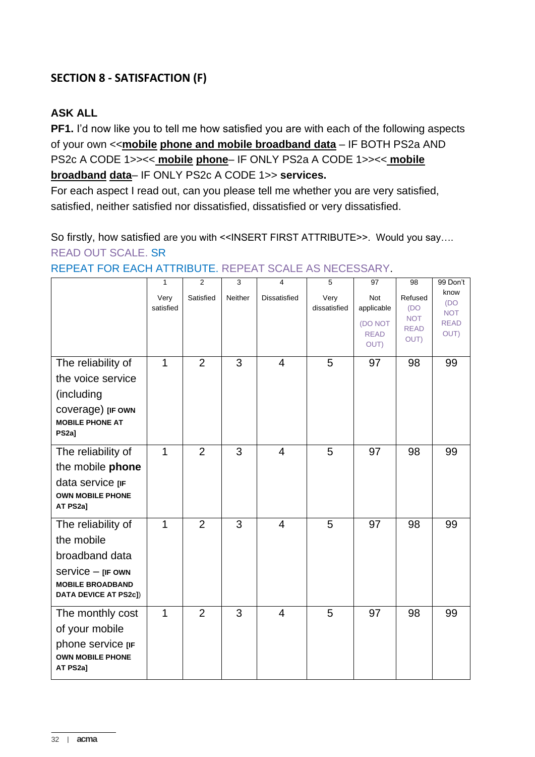## **SECTION 8 - SATISFACTION (F)**

## **ASK ALL**

**PF1.** I'd now like you to tell me how satisfied you are with each of the following aspects of your own <<**mobile phone and mobile broadband data** – IF BOTH PS2a AND PS2c A CODE 1>><< **mobile phone**– IF ONLY PS2a A CODE 1>><< **mobile broadband data**– IF ONLY PS2c A CODE 1>> **services.**

For each aspect I read out, can you please tell me whether you are very satisfied, satisfied, neither satisfied nor dissatisfied, dissatisfied or very dissatisfied.

So firstly, how satisfied are you with <<INSERT FIRST ATTRIBUTE>>. Would you say.... READ OUT SCALE. SR

99 Don't

|                                                                   | $\mathbf{1}$      | $\overline{2}$ | 3       | $\overline{4}$ | 5                    | 97                             | 98                                | 99 Don't                  |
|-------------------------------------------------------------------|-------------------|----------------|---------|----------------|----------------------|--------------------------------|-----------------------------------|---------------------------|
|                                                                   | Very<br>satisfied | Satisfied      | Neither | Dissatisfied   | Very<br>dissatisfied | Not<br>applicable              | Refused<br>(DO                    | know<br>(DO<br><b>NOT</b> |
|                                                                   |                   |                |         |                |                      | (DO NOT<br><b>READ</b><br>OUT) | <b>NOT</b><br><b>READ</b><br>OUT) | <b>READ</b><br>OUT)       |
| The reliability of                                                | $\mathbf 1$       | $\overline{2}$ | 3       | $\overline{4}$ | 5                    | 97                             | 98                                | 99                        |
| the voice service                                                 |                   |                |         |                |                      |                                |                                   |                           |
| (including                                                        |                   |                |         |                |                      |                                |                                   |                           |
| coverage) [IF OWN<br><b>MOBILE PHONE AT</b><br>PS <sub>2a</sub> ] |                   |                |         |                |                      |                                |                                   |                           |
| The reliability of                                                | $\mathbf{1}$      | $\overline{2}$ | 3       | $\overline{4}$ | 5                    | 97                             | 98                                | 99                        |
| the mobile phone                                                  |                   |                |         |                |                      |                                |                                   |                           |
| data service [IF<br><b>OWN MOBILE PHONE</b><br>AT PS2a]           |                   |                |         |                |                      |                                |                                   |                           |
| The reliability of                                                | $\mathbf{1}$      | $\overline{2}$ | 3       | $\overline{4}$ | 5                    | 97                             | 98                                | 99                        |
| the mobile                                                        |                   |                |         |                |                      |                                |                                   |                           |
| broadband data                                                    |                   |                |         |                |                      |                                |                                   |                           |
| $s$ ervice $-$ [IF OWN                                            |                   |                |         |                |                      |                                |                                   |                           |
| <b>MOBILE BROADBAND</b><br><b>DATA DEVICE AT PS2c])</b>           |                   |                |         |                |                      |                                |                                   |                           |
| The monthly cost                                                  | $\mathbf{1}$      | $\overline{2}$ | 3       | $\overline{4}$ | 5                    | 97                             | 98                                | 99                        |
| of your mobile                                                    |                   |                |         |                |                      |                                |                                   |                           |
| phone service [IF                                                 |                   |                |         |                |                      |                                |                                   |                           |
| <b>OWN MOBILE PHONE</b><br>AT PS2a]                               |                   |                |         |                |                      |                                |                                   |                           |

REPEAT FOR EACH ATTRIBUTE. REPEAT SCALE AS NECESSARY.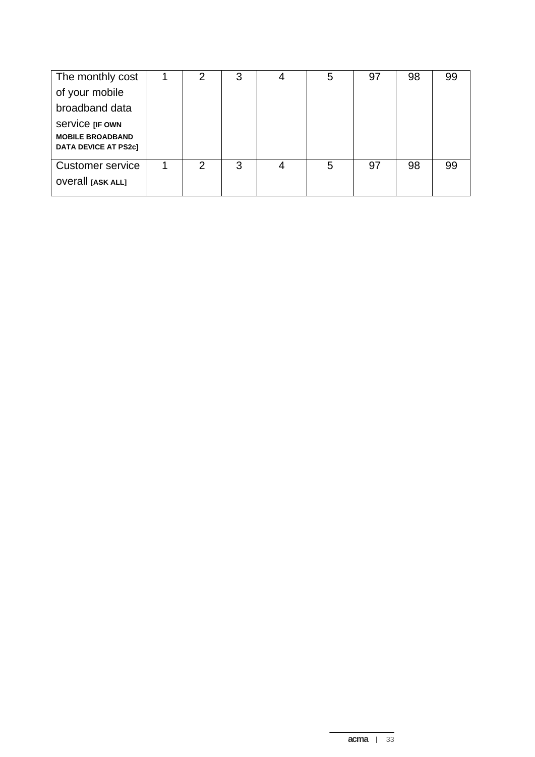| The monthly cost                                       | ⌒ | 3 | 5 | 97 | 98 | 99 |
|--------------------------------------------------------|---|---|---|----|----|----|
| of your mobile                                         |   |   |   |    |    |    |
| broadband data                                         |   |   |   |    |    |    |
| Service [IF OWN                                        |   |   |   |    |    |    |
| <b>MOBILE BROADBAND</b><br><b>DATA DEVICE AT PS2c1</b> |   |   |   |    |    |    |
|                                                        |   |   |   |    |    |    |
| <b>Customer service</b>                                | 2 | 3 | 5 | 97 | 98 | 99 |
| <b>OVETAIL [ASK ALL]</b>                               |   |   |   |    |    |    |
|                                                        |   |   |   |    |    |    |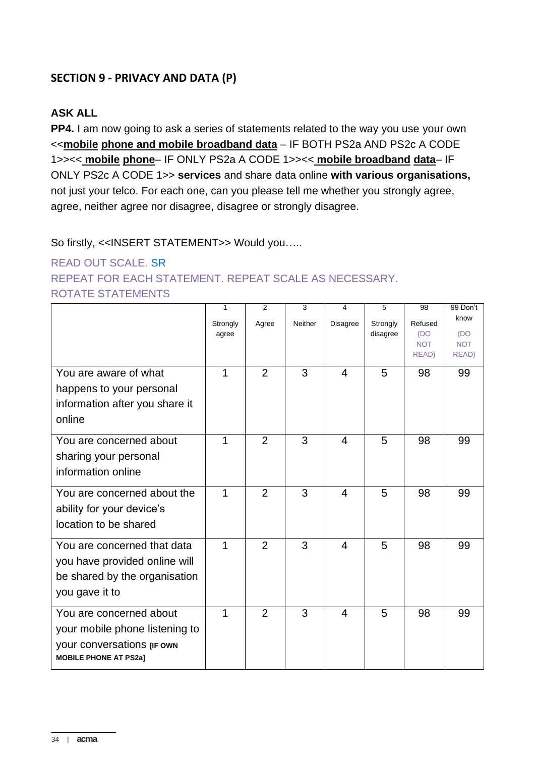## **SECTION 9 - PRIVACY AND DATA (P)**

#### **ASK ALL**

**PP4.** I am now going to ask a series of statements related to the way you use your own <<**mobile phone and mobile broadband data** – IF BOTH PS2a AND PS2c A CODE 1>><< **mobile phone**– IF ONLY PS2a A CODE 1>><< **mobile broadband data**– IF ONLY PS2c A CODE 1>> **services** and share data online **with various organisations,** not just your telco. For each one, can you please tell me whether you strongly agree, agree, neither agree nor disagree, disagree or strongly disagree.

#### So firstly, <<INSERT STATEMENT>> Would you…..

## READ OUT SCALE. SR REPEAT FOR EACH STATEMENT. REPEAT SCALE AS NECESSARY. ROTATE STATEMENTS

|                                                                                                                         | 1<br>Strongly<br>agree | 2<br>Agree     | 3<br>Neither | 4<br><b>Disagree</b> | 5<br>Strongly<br>disagree | 98<br>Refused<br>(DO<br><b>NOT</b> | 99 Don't<br>know<br>(DO<br><b>NOT</b> |
|-------------------------------------------------------------------------------------------------------------------------|------------------------|----------------|--------------|----------------------|---------------------------|------------------------------------|---------------------------------------|
| You are aware of what<br>happens to your personal<br>information after you share it<br>online                           | 1                      | $\overline{2}$ | 3            | $\overline{4}$       | 5                         | READ)<br>98                        | READ)<br>99                           |
| You are concerned about<br>sharing your personal<br>information online                                                  | 1                      | $\overline{2}$ | 3            | 4                    | 5                         | 98                                 | 99                                    |
| You are concerned about the<br>ability for your device's<br>location to be shared                                       | 1                      | $\overline{2}$ | 3            | 4                    | 5                         | 98                                 | 99                                    |
| You are concerned that data<br>you have provided online will<br>be shared by the organisation<br>you gave it to         | 1                      | $\overline{2}$ | 3            | $\overline{4}$       | 5                         | 98                                 | 99                                    |
| You are concerned about<br>your mobile phone listening to<br>your conversations [IF OWN<br><b>MOBILE PHONE AT PS2a]</b> | 1                      | $\overline{2}$ | 3            | 4                    | 5                         | 98                                 | 99                                    |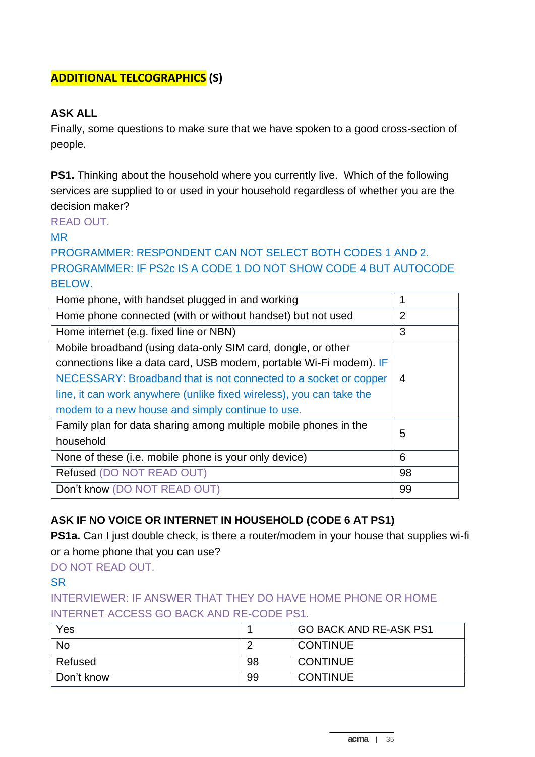## **ADDITIONAL TELCOGRAPHICS (S)**

### **ASK ALL**

Finally, some questions to make sure that we have spoken to a good cross-section of people.

**PS1.** Thinking about the household where you currently live. Which of the following services are supplied to or used in your household regardless of whether you are the decision maker?

READ OUT.

MR

PROGRAMMER: RESPONDENT CAN NOT SELECT BOTH CODES 1 AND 2. PROGRAMMER: IF PS2c IS A CODE 1 DO NOT SHOW CODE 4 BUT AUTOCODE BELOW.

| Home phone, with handset plugged in and working                      |                |
|----------------------------------------------------------------------|----------------|
| Home phone connected (with or without handset) but not used          | $\overline{2}$ |
| Home internet (e.g. fixed line or NBN)                               | 3              |
| Mobile broadband (using data-only SIM card, dongle, or other         |                |
| connections like a data card, USB modem, portable Wi-Fi modem). IF   |                |
| NECESSARY: Broadband that is not connected to a socket or copper     | 4              |
| line, it can work anywhere (unlike fixed wireless), you can take the |                |
| modem to a new house and simply continue to use.                     |                |
| Family plan for data sharing among multiple mobile phones in the     | 5              |
| household                                                            |                |
| None of these (i.e. mobile phone is your only device)                | 6              |
| Refused (DO NOT READ OUT)                                            | 98             |
| Don't know (DO NOT READ OUT)                                         | 99             |

## **ASK IF NO VOICE OR INTERNET IN HOUSEHOLD (CODE 6 AT PS1)**

**PS1a.** Can I just double check, is there a router/modem in your house that supplies wi-fi or a home phone that you can use?

DO NOT READ OUT.

#### **SR**

## INTERVIEWER: IF ANSWER THAT THEY DO HAVE HOME PHONE OR HOME INTERNET ACCESS GO BACK AND RE-CODE PS1.

| Yes        |    | <b>GO BACK AND RE-ASK PS1</b> |
|------------|----|-------------------------------|
| <b>No</b>  |    | <b>CONTINUE</b>               |
| Refused    | 98 | <b>CONTINUE</b>               |
| Don't know | 99 | <b>CONTINUE</b>               |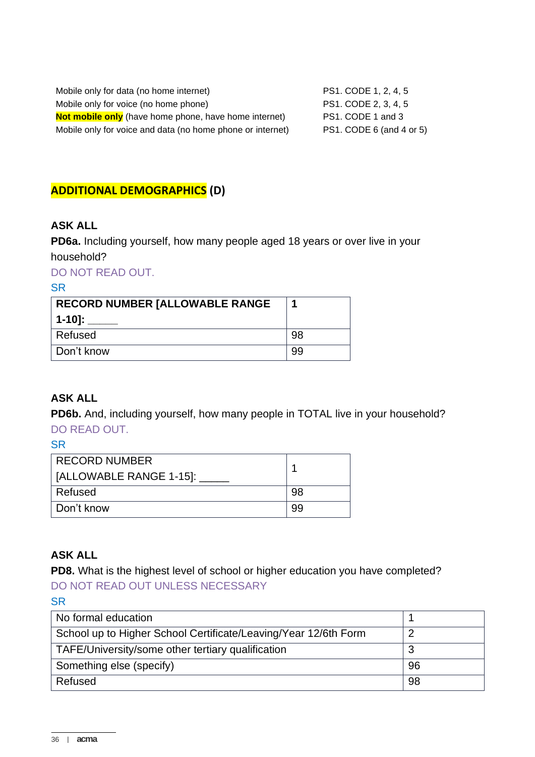| Mobile only for data (no home internet)                      | PS1. CODE 1, 2, 4, 5     |
|--------------------------------------------------------------|--------------------------|
| Mobile only for voice (no home phone)                        | PS1. CODE 2, 3, 4, 5     |
| <b>Not mobile only</b> (have home phone, have home internet) | PS1. CODE 1 and 3        |
| Mobile only for voice and data (no home phone or internet)   | PS1. CODE 6 (and 4 or 5) |

## **ADDITIONAL DEMOGRAPHICS (D)**

#### **ASK ALL**

**PD6a.** Including yourself, how many people aged 18 years or over live in your household?

DO NOT READ OUT.

#### **SR**

| RECORD NUMBER [ALLOWABLE RANGE | п  |
|--------------------------------|----|
| 1-10]:                         |    |
| Refused                        | 98 |
| Don't know                     | 99 |

#### **ASK ALL**

**PD6b.** And, including yourself, how many people in TOTAL live in your household? DO READ OUT.

**SR** 

| <b>RECORD NUMBER</b><br>  [ALLOWABLE RANGE 1-15]: ] |    |
|-----------------------------------------------------|----|
| Refused                                             | 98 |
| ∣ Don't know                                        | 99 |

#### **ASK ALL**

**PD8.** What is the highest level of school or higher education you have completed? DO NOT READ OUT UNLESS NECESSARY

| No formal education                                             |    |
|-----------------------------------------------------------------|----|
| School up to Higher School Certificate/Leaving/Year 12/6th Form |    |
| TAFE/University/some other tertiary qualification               |    |
| Something else (specify)                                        | 96 |
| Refused                                                         | 98 |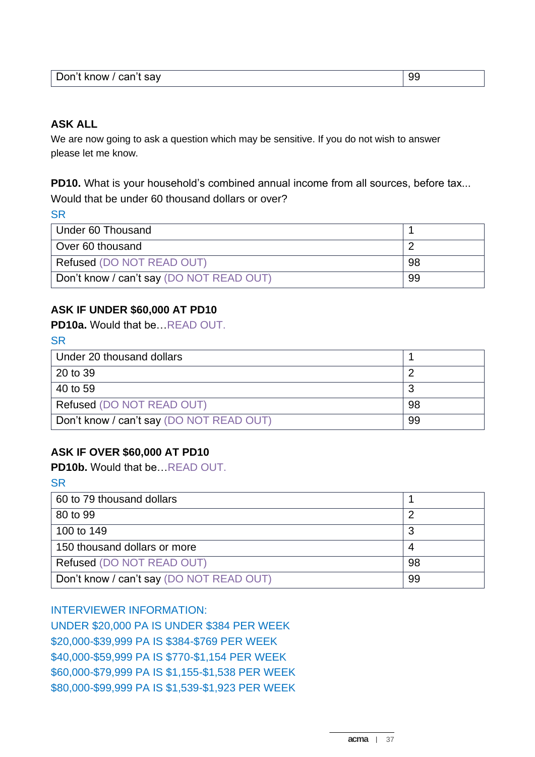| Don't know / can't say<br>------- | 99 |
|-----------------------------------|----|
|-----------------------------------|----|

#### **ASK ALL**

We are now going to ask a question which may be sensitive. If you do not wish to answer please let me know.

**PD10.** What is your household's combined annual income from all sources, before tax... Would that be under 60 thousand dollars or over?

**SR** 

| Under 60 Thousand                        |    |
|------------------------------------------|----|
| Over 60 thousand                         |    |
| Refused (DO NOT READ OUT)                | 98 |
| Don't know / can't say (DO NOT READ OUT) | 99 |

#### **ASK IF UNDER \$60,000 AT PD10**

**PD10a.** Would that be…READ OUT.

| P.<br>۰<br>19 | . . |
|---------------|-----|
| ۰,<br>×<br>w  | .,  |

| Under 20 thousand dollars                |    |
|------------------------------------------|----|
| 20 to 39                                 |    |
| 40 to 59                                 |    |
| Refused (DO NOT READ OUT)                | 98 |
| Don't know / can't say (DO NOT READ OUT) | 99 |

#### **ASK IF OVER \$60,000 AT PD10**

**PD10b.** Would that be…READ OUT.

**SR** 

| 60 to 79 thousand dollars                |    |
|------------------------------------------|----|
| 80 to 99                                 |    |
| 100 to 149                               |    |
| 150 thousand dollars or more             |    |
| Refused (DO NOT READ OUT)                | 98 |
| Don't know / can't say (DO NOT READ OUT) | 99 |

#### INTERVIEWER INFORMATION:

UNDER \$20,000 PA IS UNDER \$384 PER WEEK \$20,000-\$39,999 PA IS \$384-\$769 PER WEEK \$40,000-\$59,999 PA IS \$770-\$1,154 PER WEEK \$60,000-\$79,999 PA IS \$1,155-\$1,538 PER WEEK \$80,000-\$99,999 PA IS \$1,539-\$1,923 PER WEEK